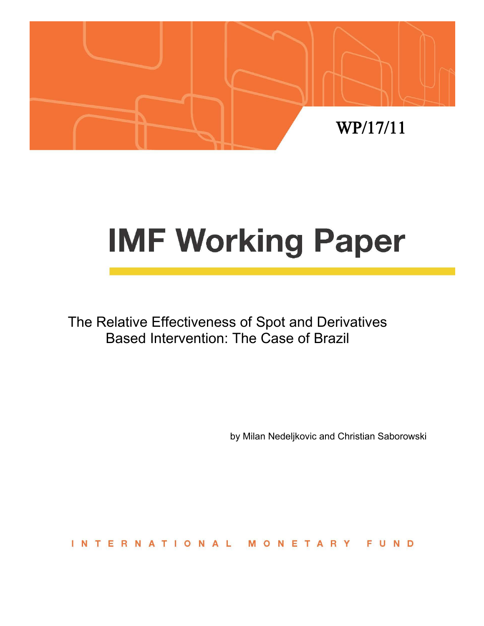

# **IMF Working Paper**

The Relative Effectiveness of Spot and Derivatives Based Intervention: The Case of Brazil

by Milan Nedeljkovic and Christian Saborowski

**INTERNATIONAL** MONETARY FUND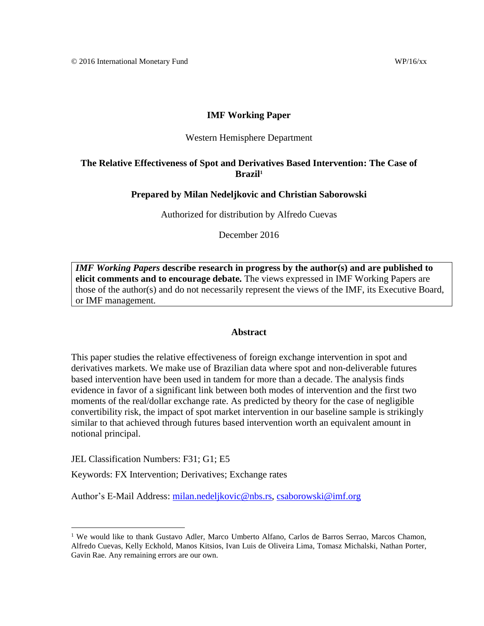## **IMF Working Paper**

### Western Hemisphere Department

## **The Relative Effectiveness of Spot and Derivatives Based Intervention: The Case of Brazil<sup>1</sup>**

## **Prepared by Milan Nedeljkovic and Christian Saborowski**

Authorized for distribution by Alfredo Cuevas

December 2016

*IMF Working Papers* **describe research in progress by the author(s) and are published to elicit comments and to encourage debate.** The views expressed in IMF Working Papers are those of the author(s) and do not necessarily represent the views of the IMF, its Executive Board, or IMF management.

#### **Abstract**

This paper studies the relative effectiveness of foreign exchange intervention in spot and derivatives markets. We make use of Brazilian data where spot and non-deliverable futures based intervention have been used in tandem for more than a decade. The analysis finds evidence in favor of a significant link between both modes of intervention and the first two moments of the real/dollar exchange rate. As predicted by theory for the case of negligible convertibility risk, the impact of spot market intervention in our baseline sample is strikingly similar to that achieved through futures based intervention worth an equivalent amount in notional principal.

JEL Classification Numbers: F31; G1; E5

 $\overline{a}$ 

Keywords: FX Intervention; Derivatives; Exchange rates

Author's E-Mail Address: [milan.nedeljkovic@nbs.rs,](mailto:milan.nedeljkovic@nbs.rs) [csaborowski@imf.org](mailto:csaborowski@imf.org)

<sup>&</sup>lt;sup>1</sup> We would like to thank Gustavo Adler, Marco Umberto Alfano, Carlos de Barros Serrao, Marcos Chamon, Alfredo Cuevas, Kelly Eckhold, Manos Kitsios, Ivan Luis de Oliveira Lima, Tomasz Michalski, Nathan Porter, Gavin Rae. Any remaining errors are our own.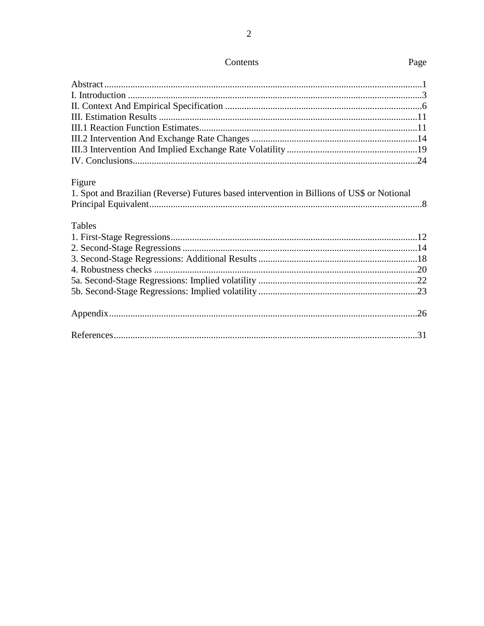| Figure                                                                                     |  |
|--------------------------------------------------------------------------------------------|--|
| 1. Spot and Brazilian (Reverse) Futures based intervention in Billions of US\$ or Notional |  |
|                                                                                            |  |
| <b>Tables</b>                                                                              |  |
|                                                                                            |  |
|                                                                                            |  |
|                                                                                            |  |
|                                                                                            |  |
|                                                                                            |  |
|                                                                                            |  |
|                                                                                            |  |
|                                                                                            |  |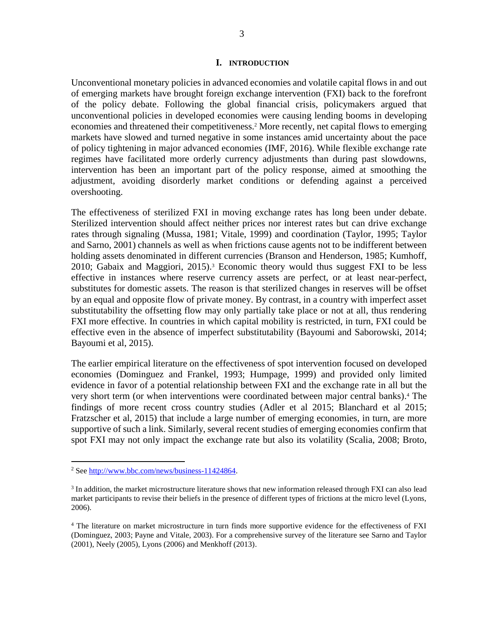Unconventional monetary policies in advanced economies and volatile capital flows in and out of emerging markets have brought foreign exchange intervention (FXI) back to the forefront of the policy debate. Following the global financial crisis, policymakers argued that unconventional policies in developed economies were causing lending booms in developing economies and threatened their competitiveness. <sup>2</sup> More recently, net capital flows to emerging markets have slowed and turned negative in some instances amid uncertainty about the pace of policy tightening in major advanced economies (IMF, 2016). While flexible exchange rate regimes have facilitated more orderly currency adjustments than during past slowdowns, intervention has been an important part of the policy response, aimed at smoothing the adjustment, avoiding disorderly market conditions or defending against a perceived overshooting.

The effectiveness of sterilized FXI in moving exchange rates has long been under debate. Sterilized intervention should affect neither prices nor interest rates but can drive exchange rates through signaling (Mussa, 1981; Vitale, 1999) and coordination (Taylor, 1995; Taylor and Sarno, 2001) channels as well as when frictions cause agents not to be indifferent between holding assets denominated in different currencies (Branson and Henderson, 1985; Kumhoff, 2010; Gabaix and Maggiori, 2015). <sup>3</sup> Economic theory would thus suggest FXI to be less effective in instances where reserve currency assets are perfect, or at least near-perfect, substitutes for domestic assets. The reason is that sterilized changes in reserves will be offset by an equal and opposite flow of private money. By contrast, in a country with imperfect asset substitutability the offsetting flow may only partially take place or not at all, thus rendering FXI more effective. In countries in which capital mobility is restricted, in turn, FXI could be effective even in the absence of imperfect substitutability (Bayoumi and Saborowski, 2014; Bayoumi et al, 2015).

The earlier empirical literature on the effectiveness of spot intervention focused on developed economies (Dominguez and Frankel, 1993; Humpage, 1999) and provided only limited evidence in favor of a potential relationship between FXI and the exchange rate in all but the very short term (or when interventions were coordinated between major central banks). <sup>4</sup> The findings of more recent cross country studies (Adler et al 2015; Blanchard et al 2015; Fratzscher et al, 2015) that include a large number of emerging economies, in turn, are more supportive of such a link. Similarly, several recent studies of emerging economies confirm that spot FXI may not only impact the exchange rate but also its volatility (Scalia, 2008; Broto,

<sup>2</sup> Se[e http://www.bbc.com/news/business-11424864.](http://www.bbc.com/news/business-11424864)

<sup>&</sup>lt;sup>3</sup> In addition, the market microstructure literature shows that new information released through FXI can also lead market participants to revise their beliefs in the presence of different types of frictions at the micro level (Lyons, 2006).

<sup>&</sup>lt;sup>4</sup> The literature on market microstructure in turn finds more supportive evidence for the effectiveness of FXI (Dominguez, 2003; Payne and Vitale, 2003). For a comprehensive survey of the literature see Sarno and Taylor (2001), Neely (2005), Lyons (2006) and Menkhoff (2013).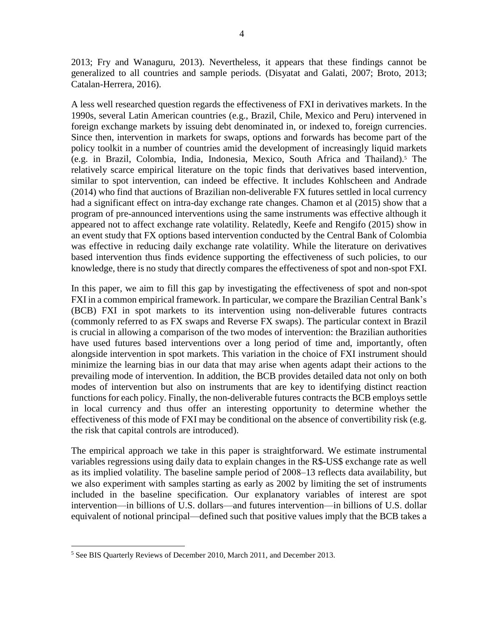2013; Fry and Wanaguru, 2013). Nevertheless, it appears that these findings cannot be generalized to all countries and sample periods. (Disyatat and Galati, 2007; Broto, 2013; Catalan-Herrera, 2016).

A less well researched question regards the effectiveness of FXI in derivatives markets. In the 1990s, several Latin American countries (e.g., Brazil, Chile, Mexico and Peru) intervened in foreign exchange markets by issuing debt denominated in, or indexed to, foreign currencies. Since then, intervention in markets for swaps, options and forwards has become part of the policy toolkit in a number of countries amid the development of increasingly liquid markets (e.g. in Brazil, Colombia, India, Indonesia, Mexico, South Africa and Thailand). <sup>5</sup> The relatively scarce empirical literature on the topic finds that derivatives based intervention, similar to spot intervention, can indeed be effective. It includes Kohlscheen and Andrade (2014) who find that auctions of Brazilian non-deliverable FX futures settled in local currency had a significant effect on intra-day exchange rate changes. Chamon et al (2015) show that a program of pre-announced interventions using the same instruments was effective although it appeared not to affect exchange rate volatility. Relatedly, Keefe and Rengifo (2015) show in an event study that FX options based intervention conducted by the Central Bank of Colombia was effective in reducing daily exchange rate volatility. While the literature on derivatives based intervention thus finds evidence supporting the effectiveness of such policies, to our knowledge, there is no study that directly compares the effectiveness of spot and non-spot FXI.

In this paper, we aim to fill this gap by investigating the effectiveness of spot and non-spot FXI in a common empirical framework. In particular, we compare the Brazilian Central Bank's (BCB) FXI in spot markets to its intervention using non-deliverable futures contracts (commonly referred to as FX swaps and Reverse FX swaps). The particular context in Brazil is crucial in allowing a comparison of the two modes of intervention: the Brazilian authorities have used futures based interventions over a long period of time and, importantly, often alongside intervention in spot markets. This variation in the choice of FXI instrument should minimize the learning bias in our data that may arise when agents adapt their actions to the prevailing mode of intervention. In addition, the BCB provides detailed data not only on both modes of intervention but also on instruments that are key to identifying distinct reaction functions for each policy. Finally, the non-deliverable futures contracts the BCB employs settle in local currency and thus offer an interesting opportunity to determine whether the effectiveness of this mode of FXI may be conditional on the absence of convertibility risk (e.g. the risk that capital controls are introduced).

The empirical approach we take in this paper is straightforward. We estimate instrumental variables regressions using daily data to explain changes in the R\$-US\$ exchange rate as well as its implied volatility. The baseline sample period of 2008–13 reflects data availability, but we also experiment with samples starting as early as 2002 by limiting the set of instruments included in the baseline specification. Our explanatory variables of interest are spot intervention—in billions of U.S. dollars—and futures intervention—in billions of U.S. dollar equivalent of notional principal—defined such that positive values imply that the BCB takes a

<sup>&</sup>lt;sup>5</sup> See BIS Quarterly Reviews of December 2010, March 2011, and December 2013.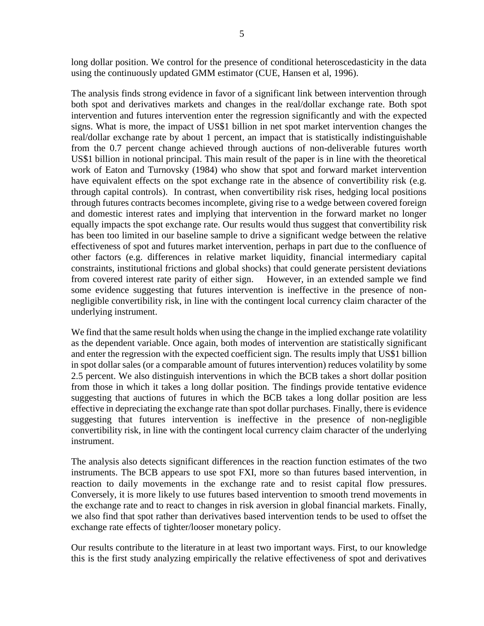long dollar position. We control for the presence of conditional heteroscedasticity in the data using the continuously updated GMM estimator (CUE, Hansen et al, 1996).

The analysis finds strong evidence in favor of a significant link between intervention through both spot and derivatives markets and changes in the real/dollar exchange rate. Both spot intervention and futures intervention enter the regression significantly and with the expected signs. What is more, the impact of US\$1 billion in net spot market intervention changes the real/dollar exchange rate by about 1 percent, an impact that is statistically indistinguishable from the 0.7 percent change achieved through auctions of non-deliverable futures worth US\$1 billion in notional principal. This main result of the paper is in line with the theoretical work of Eaton and Turnovsky (1984) who show that spot and forward market intervention have equivalent effects on the spot exchange rate in the absence of convertibility risk (e.g. through capital controls). In contrast, when convertibility risk rises, hedging local positions through futures contracts becomes incomplete, giving rise to a wedge between covered foreign and domestic interest rates and implying that intervention in the forward market no longer equally impacts the spot exchange rate. Our results would thus suggest that convertibility risk has been too limited in our baseline sample to drive a significant wedge between the relative effectiveness of spot and futures market intervention, perhaps in part due to the confluence of other factors (e.g. differences in relative market liquidity, financial intermediary capital constraints, institutional frictions and global shocks) that could generate persistent deviations from covered interest rate parity of either sign. However, in an extended sample we find some evidence suggesting that futures intervention is ineffective in the presence of nonnegligible convertibility risk, in line with the contingent local currency claim character of the underlying instrument.

We find that the same result holds when using the change in the implied exchange rate volatility as the dependent variable. Once again, both modes of intervention are statistically significant and enter the regression with the expected coefficient sign. The results imply that US\$1 billion in spot dollar sales (or a comparable amount of futures intervention) reduces volatility by some 2.5 percent. We also distinguish interventions in which the BCB takes a short dollar position from those in which it takes a long dollar position. The findings provide tentative evidence suggesting that auctions of futures in which the BCB takes a long dollar position are less effective in depreciating the exchange rate than spot dollar purchases. Finally, there is evidence suggesting that futures intervention is ineffective in the presence of non-negligible convertibility risk, in line with the contingent local currency claim character of the underlying instrument.

The analysis also detects significant differences in the reaction function estimates of the two instruments. The BCB appears to use spot FXI, more so than futures based intervention, in reaction to daily movements in the exchange rate and to resist capital flow pressures. Conversely, it is more likely to use futures based intervention to smooth trend movements in the exchange rate and to react to changes in risk aversion in global financial markets. Finally, we also find that spot rather than derivatives based intervention tends to be used to offset the exchange rate effects of tighter/looser monetary policy.

Our results contribute to the literature in at least two important ways. First, to our knowledge this is the first study analyzing empirically the relative effectiveness of spot and derivatives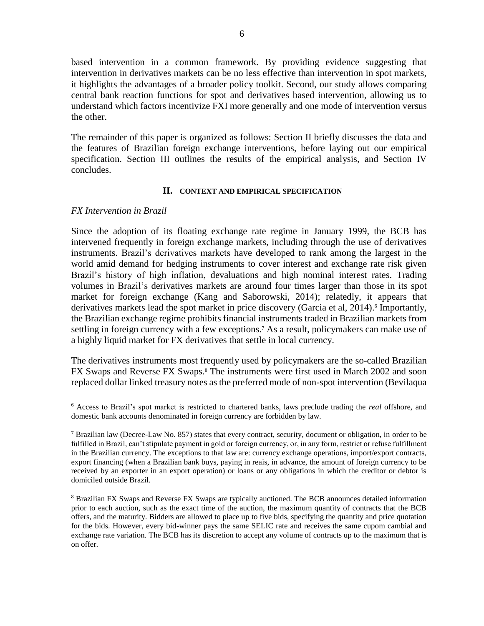based intervention in a common framework. By providing evidence suggesting that intervention in derivatives markets can be no less effective than intervention in spot markets, it highlights the advantages of a broader policy toolkit. Second, our study allows comparing central bank reaction functions for spot and derivatives based intervention, allowing us to understand which factors incentivize FXI more generally and one mode of intervention versus the other.

The remainder of this paper is organized as follows: Section II briefly discusses the data and the features of Brazilian foreign exchange interventions, before laying out our empirical specification. Section III outlines the results of the empirical analysis, and Section IV concludes.

## **II. CONTEXT AND EMPIRICAL SPECIFICATION**

## *FX Intervention in Brazil*

 $\overline{a}$ 

Since the adoption of its floating exchange rate regime in January 1999, the BCB has intervened frequently in foreign exchange markets, including through the use of derivatives instruments. Brazil's derivatives markets have developed to rank among the largest in the world amid demand for hedging instruments to cover interest and exchange rate risk given Brazil's history of high inflation, devaluations and high nominal interest rates. Trading volumes in Brazil's derivatives markets are around four times larger than those in its spot market for foreign exchange (Kang and Saborowski, 2014); relatedly, it appears that derivatives markets lead the spot market in price discovery (Garcia et al, 2014). 6 Importantly, the Brazilian exchange regime prohibits financial instruments traded in Brazilian markets from settling in foreign currency with a few exceptions.<sup>7</sup> As a result, policymakers can make use of a highly liquid market for FX derivatives that settle in local currency.

The derivatives instruments most frequently used by policymakers are the so-called Brazilian FX Swaps and Reverse FX Swaps. <sup>8</sup> The instruments were first used in March 2002 and soon replaced dollar linked treasury notes as the preferred mode of non-spot intervention (Bevilaqua

<sup>6</sup> Access to Brazil's spot market is restricted to chartered banks, laws preclude trading the *real* offshore, and domestic bank accounts denominated in foreign currency are forbidden by law.

<sup>&</sup>lt;sup>7</sup> Brazilian law (Decree-Law No. 857) states that every contract, security, document or obligation, in order to be fulfilled in Brazil, can't stipulate payment in gold or foreign currency, or, in any form, restrict or refuse fulfillment in the Brazilian currency. The exceptions to that law are: currency exchange operations, import/export contracts, export financing (when a Brazilian bank buys, paying in reais, in advance, the amount of foreign currency to be received by an exporter in an export operation) or loans or any obligations in which the creditor or debtor is domiciled outside Brazil.

<sup>8</sup> Brazilian FX Swaps and Reverse FX Swaps are typically auctioned. The BCB announces detailed information prior to each auction, such as the exact time of the auction, the maximum quantity of contracts that the BCB offers, and the maturity. Bidders are allowed to place up to five bids, specifying the quantity and price quotation for the bids. However, every bid-winner pays the same SELIC rate and receives the same cupom cambial and exchange rate variation. The BCB has its discretion to accept any volume of contracts up to the maximum that is on offer.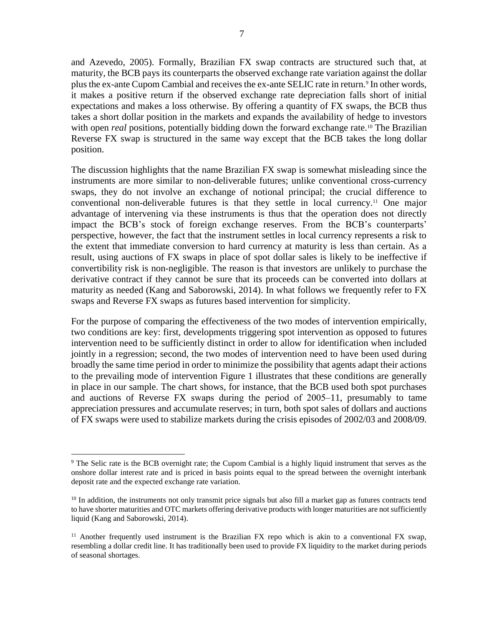and Azevedo, 2005). Formally, Brazilian FX swap contracts are structured such that, at maturity, the BCB pays its counterparts the observed exchange rate variation against the dollar plus the ex-ante Cupom Cambial and receives the ex-ante SELIC rate in return.<sup>9</sup> In other words, it makes a positive return if the observed exchange rate depreciation falls short of initial expectations and makes a loss otherwise. By offering a quantity of FX swaps, the BCB thus takes a short dollar position in the markets and expands the availability of hedge to investors with open *real* positions, potentially bidding down the forward exchange rate.<sup>10</sup> The Brazilian Reverse FX swap is structured in the same way except that the BCB takes the long dollar position.

The discussion highlights that the name Brazilian FX swap is somewhat misleading since the instruments are more similar to non-deliverable futures; unlike conventional cross-currency swaps, they do not involve an exchange of notional principal; the crucial difference to conventional non-deliverable futures is that they settle in local currency. <sup>11</sup> One major advantage of intervening via these instruments is thus that the operation does not directly impact the BCB's stock of foreign exchange reserves. From the BCB's counterparts' perspective, however, the fact that the instrument settles in local currency represents a risk to the extent that immediate conversion to hard currency at maturity is less than certain. As a result, using auctions of FX swaps in place of spot dollar sales is likely to be ineffective if convertibility risk is non-negligible. The reason is that investors are unlikely to purchase the derivative contract if they cannot be sure that its proceeds can be converted into dollars at maturity as needed (Kang and Saborowski, 2014). In what follows we frequently refer to FX swaps and Reverse FX swaps as futures based intervention for simplicity.

For the purpose of comparing the effectiveness of the two modes of intervention empirically, two conditions are key: first, developments triggering spot intervention as opposed to futures intervention need to be sufficiently distinct in order to allow for identification when included jointly in a regression; second, the two modes of intervention need to have been used during broadly the same time period in order to minimize the possibility that agents adapt their actions to the prevailing mode of intervention Figure 1 illustrates that these conditions are generally in place in our sample. The chart shows, for instance, that the BCB used both spot purchases and auctions of Reverse FX swaps during the period of  $2005-11$ , presumably to tame appreciation pressures and accumulate reserves; in turn, both spot sales of dollars and auctions of FX swaps were used to stabilize markets during the crisis episodes of 2002/03 and 2008/09.

<sup>9</sup> The Selic rate is the BCB overnight rate; the Cupom Cambial is a highly liquid instrument that serves as the onshore dollar interest rate and is priced in basis points equal to the spread between the overnight interbank deposit rate and the expected exchange rate variation.

<sup>&</sup>lt;sup>10</sup> In addition, the instruments not only transmit price signals but also fill a market gap as futures contracts tend to have shorter maturities and OTC markets offering derivative products with longer maturities are not sufficiently liquid (Kang and Saborowski, 2014).

<sup>&</sup>lt;sup>11</sup> Another frequently used instrument is the Brazilian FX repo which is akin to a conventional FX swap, resembling a dollar credit line. It has traditionally been used to provide FX liquidity to the market during periods of seasonal shortages.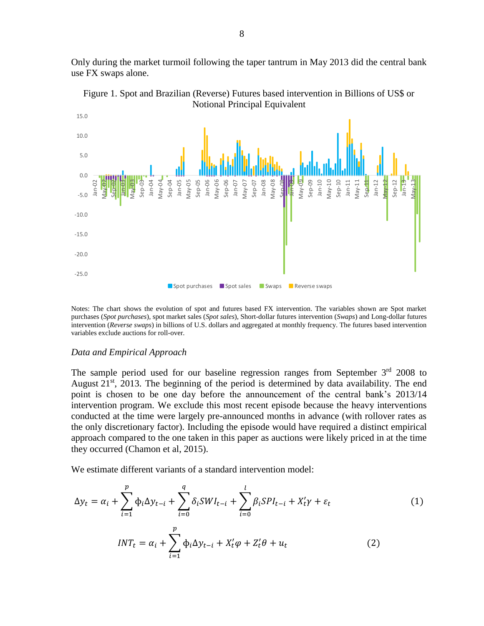Only during the market turmoil following the taper tantrum in May 2013 did the central bank use FX swaps alone.



Figure 1. Spot and Brazilian (Reverse) Futures based intervention in Billions of US\$ or Notional Principal Equivalent

Notes: The chart shows the evolution of spot and futures based FX intervention. The variables shown are Spot market purchases (*Spot purchases*), spot market sales (*Spot sales*), Short-dollar futures intervention (*Swaps*) and Long-dollar futures intervention (*Reverse swaps*) in billions of U.S. dollars and aggregated at monthly frequency. The futures based intervention variables exclude auctions for roll-over.

#### *Data and Empirical Approach*

The sample period used for our baseline regression ranges from September  $3<sup>rd</sup>$  2008 to August 21<sup>st</sup>, 2013. The beginning of the period is determined by data availability. The end point is chosen to be one day before the announcement of the central bank's 2013/14 intervention program. We exclude this most recent episode because the heavy interventions conducted at the time were largely pre-announced months in advance (with rollover rates as the only discretionary factor). Including the episode would have required a distinct empirical approach compared to the one taken in this paper as auctions were likely priced in at the time they occurred (Chamon et al, 2015).

We estimate different variants of a standard intervention model:

$$
\Delta y_t = \alpha_i + \sum_{i=1}^p \Phi_i \Delta y_{t-i} + \sum_{i=0}^q \delta_i SW I_{t-i} + \sum_{i=0}^l \beta_i SP I_{t-i} + X_t' \gamma + \varepsilon_t \tag{1}
$$

$$
INT_t = \alpha_i + \sum_{i=1}^p \phi_i \Delta y_{t-i} + X_t' \varphi + Z_t' \theta + u_t
$$
 (2)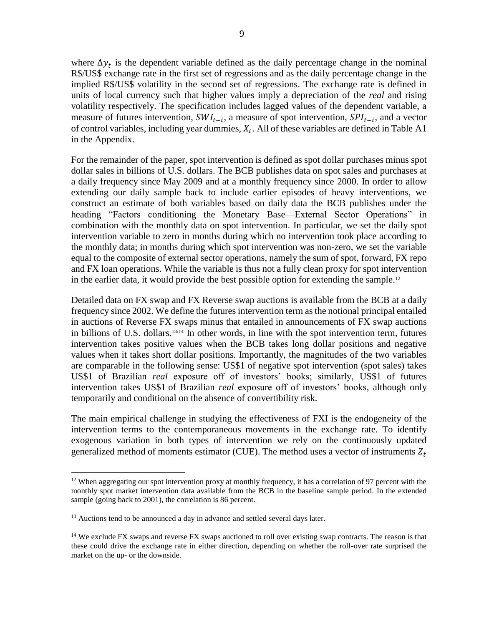where  $\Delta y_t$  is the dependent variable defined as the daily percentage change in the nominal R\$/US\$ exchange rate in the first set of regressions and as the daily percentage change in the implied R\$/US\$ volatility in the second set of regressions. The exchange rate is defined in units of local currency such that higher values imply a depreciation of the *real* and rising volatility respectively. The specification includes lagged values of the dependent variable, a measure of futures intervention,  $SWI_{t-i}$ , a measure of spot intervention,  $SPI_{t-i}$ , and a vector of control variables, including year dummies,  $X_t$ . All of these variables are defined in Table A1 in the Appendix.

For the remainder of the paper, spot intervention is defined as spot dollar purchases minus spot dollar sales in billions of U.S. dollars. The BCB publishes data on spot sales and purchases at a daily frequency since May 2009 and at a monthly frequency since 2000. In order to allow extending our daily sample back to include earlier episodes of heavy interventions, we construct an estimate of both variables based on daily data the BCB publishes under the heading "Factors conditioning the Monetary Base—External Sector Operations" in combination with the monthly data on spot intervention. In particular, we set the daily spot intervention variable to zero in months during which no intervention took place according to the monthly data; in months during which spot intervention was non-zero, we set the variable equal to the composite of external sector operations, namely the sum of spot, forward, FX repo and FX loan operations. While the variable is thus not a fully clean proxy for spot intervention in the earlier data, it would provide the best possible option for extending the sample.<sup>12</sup>

Detailed data on FX swap and FX Reverse swap auctions is available from the BCB at a daily frequency since 2002. We define the futures intervention term as the notional principal entailed in auctions of Reverse FX swaps minus that entailed in announcements of FX swap auctions in billions of U.S. dollars. <sup>13</sup>,<sup>14</sup> In other words, in line with the spot intervention term, futures intervention takes positive values when the BCB takes long dollar positions and negative values when it takes short dollar positions. Importantly, the magnitudes of the two variables are comparable in the following sense: US\$1 of negative spot intervention (spot sales) takes US\$1 of Brazilian *real* exposure off of investors' books; similarly, US\$1 of futures intervention takes US\$1 of Brazilian *real* exposure off of investors' books, although only temporarily and conditional on the absence of convertibility risk.

The main empirical challenge in studying the effectiveness of FXI is the endogeneity of the intervention terms to the contemporaneous movements in the exchange rate. To identify exogenous variation in both types of intervention we rely on the continuously updated generalized method of moments estimator (CUE). The method uses a vector of instruments  $Z_t$ 

 $12$  When aggregating our spot intervention proxy at monthly frequency, it has a correlation of 97 percent with the monthly spot market intervention data available from the BCB in the baseline sample period. In the extended sample (going back to 2001), the correlation is 86 percent.

<sup>&</sup>lt;sup>13</sup> Auctions tend to be announced a day in advance and settled several days later.

<sup>&</sup>lt;sup>14</sup> We exclude FX swaps and reverse FX swaps auctioned to roll over existing swap contracts. The reason is that these could drive the exchange rate in either direction, depending on whether the roll-over rate surprised the market on the up- or the downside.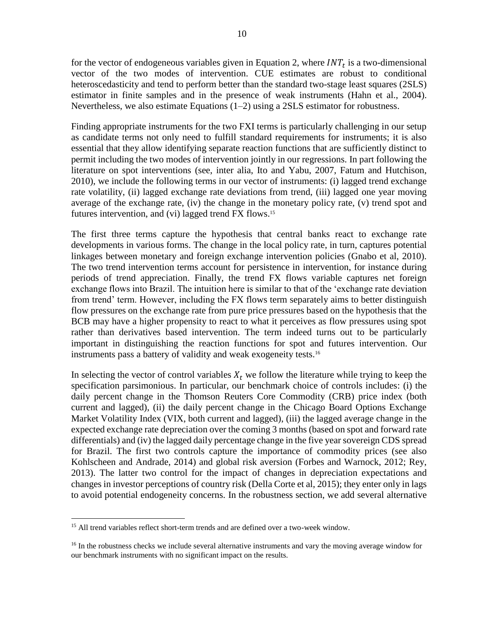for the vector of endogeneous variables given in Equation 2, where  $INT<sub>t</sub>$  is a two-dimensional vector of the two modes of intervention. CUE estimates are robust to conditional heteroscedasticity and tend to perform better than the standard two-stage least squares (2SLS) estimator in finite samples and in the presence of weak instruments (Hahn et al., 2004). Nevertheless, we also estimate Equations (1–2) using a 2SLS estimator for robustness.

Finding appropriate instruments for the two FXI terms is particularly challenging in our setup as candidate terms not only need to fulfill standard requirements for instruments; it is also essential that they allow identifying separate reaction functions that are sufficiently distinct to permit including the two modes of intervention jointly in our regressions. In part following the literature on spot interventions (see, inter alia, Ito and Yabu, 2007, Fatum and Hutchison, 2010), we include the following terms in our vector of instruments: (i) lagged trend exchange rate volatility, (ii) lagged exchange rate deviations from trend, (iii) lagged one year moving average of the exchange rate, (iv) the change in the monetary policy rate, (v) trend spot and futures intervention, and (vi) lagged trend FX flows.<sup>15</sup>

The first three terms capture the hypothesis that central banks react to exchange rate developments in various forms. The change in the local policy rate, in turn, captures potential linkages between monetary and foreign exchange intervention policies (Gnabo et al, 2010). The two trend intervention terms account for persistence in intervention, for instance during periods of trend appreciation. Finally, the trend FX flows variable captures net foreign exchange flows into Brazil. The intuition here is similar to that of the 'exchange rate deviation from trend' term. However, including the FX flows term separately aims to better distinguish flow pressures on the exchange rate from pure price pressures based on the hypothesis that the BCB may have a higher propensity to react to what it perceives as flow pressures using spot rather than derivatives based intervention. The term indeed turns out to be particularly important in distinguishing the reaction functions for spot and futures intervention. Our instruments pass a battery of validity and weak exogeneity tests.<sup>16</sup>

In selecting the vector of control variables  $X_t$  we follow the literature while trying to keep the specification parsimonious. In particular, our benchmark choice of controls includes: (i) the daily percent change in the Thomson Reuters Core Commodity (CRB) price index (both current and lagged), (ii) the daily percent change in the Chicago Board Options Exchange Market Volatility Index (VIX, both current and lagged), (iii) the lagged average change in the expected exchange rate depreciation over the coming 3 months (based on spot and forward rate differentials) and (iv) the lagged daily percentage change in the five year sovereign CDS spread for Brazil. The first two controls capture the importance of commodity prices (see also Kohlscheen and Andrade, 2014) and global risk aversion (Forbes and Warnock, 2012; Rey, 2013). The latter two control for the impact of changes in depreciation expectations and changes in investor perceptions of country risk (Della Corte et al, 2015); they enter only in lags to avoid potential endogeneity concerns. In the robustness section, we add several alternative

<sup>&</sup>lt;sup>15</sup> All trend variables reflect short-term trends and are defined over a two-week window.

<sup>&</sup>lt;sup>16</sup> In the robustness checks we include several alternative instruments and vary the moving average window for our benchmark instruments with no significant impact on the results.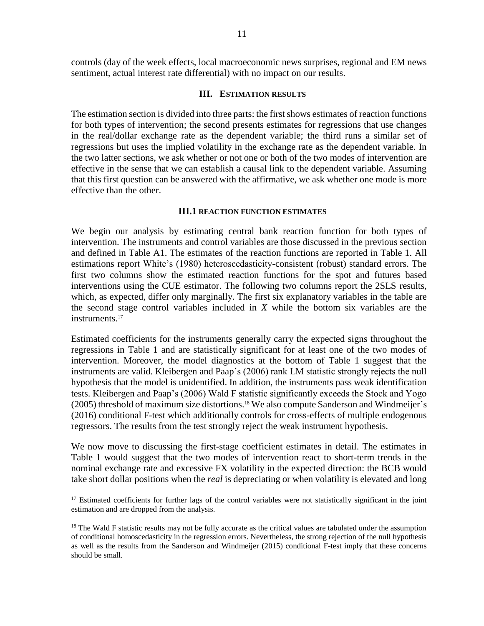controls (day of the week effects, local macroeconomic news surprises, regional and EM news sentiment, actual interest rate differential) with no impact on our results.

#### **III. ESTIMATION RESULTS**

The estimation section is divided into three parts: the first shows estimates of reaction functions for both types of intervention; the second presents estimates for regressions that use changes in the real/dollar exchange rate as the dependent variable; the third runs a similar set of regressions but uses the implied volatility in the exchange rate as the dependent variable. In the two latter sections, we ask whether or not one or both of the two modes of intervention are effective in the sense that we can establish a causal link to the dependent variable. Assuming that this first question can be answered with the affirmative, we ask whether one mode is more effective than the other.

#### **III.1 REACTION FUNCTION ESTIMATES**

We begin our analysis by estimating central bank reaction function for both types of intervention. The instruments and control variables are those discussed in the previous section and defined in Table A1. The estimates of the reaction functions are reported in Table 1. All estimations report White's (1980) heteroscedasticity-consistent (robust) standard errors. The first two columns show the estimated reaction functions for the spot and futures based interventions using the CUE estimator. The following two columns report the 2SLS results, which, as expected, differ only marginally. The first six explanatory variables in the table are the second stage control variables included in *X* while the bottom six variables are the instruments.<sup>17</sup>

Estimated coefficients for the instruments generally carry the expected signs throughout the regressions in Table 1 and are statistically significant for at least one of the two modes of intervention. Moreover, the model diagnostics at the bottom of Table 1 suggest that the instruments are valid. Kleibergen and Paap's (2006) rank LM statistic strongly rejects the null hypothesis that the model is unidentified. In addition, the instruments pass weak identification tests. Kleibergen and Paap's (2006) Wald F statistic significantly exceeds the Stock and Yogo (2005) threshold of maximum size distortions.<sup>18</sup> We also compute Sanderson and Windmeijer's (2016) conditional F-test which additionally controls for cross-effects of multiple endogenous regressors. The results from the test strongly reject the weak instrument hypothesis.

We now move to discussing the first-stage coefficient estimates in detail. The estimates in Table 1 would suggest that the two modes of intervention react to short-term trends in the nominal exchange rate and excessive FX volatility in the expected direction: the BCB would take short dollar positions when the *real* is depreciating or when volatility is elevated and long

<sup>&</sup>lt;sup>17</sup> Estimated coefficients for further lags of the control variables were not statistically significant in the joint estimation and are dropped from the analysis.

<sup>&</sup>lt;sup>18</sup> The Wald F statistic results may not be fully accurate as the critical values are tabulated under the assumption of conditional homoscedasticity in the regression errors. Nevertheless, the strong rejection of the null hypothesis as well as the results from the Sanderson and Windmeijer (2015) conditional F-test imply that these concerns should be small.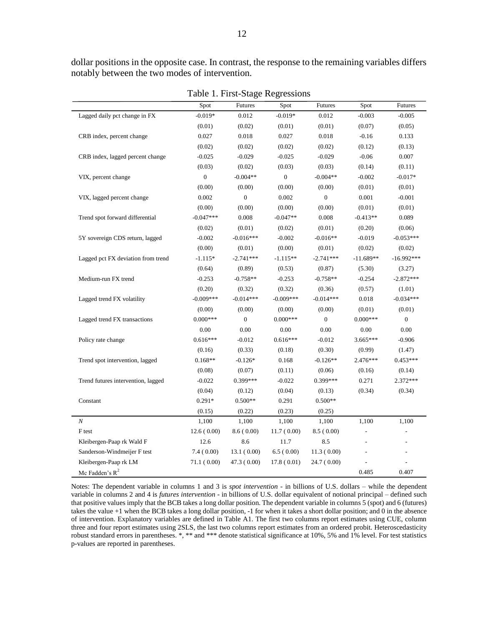dollar positions in the opposite case. In contrast, the response to the remaining variables differs notably between the two modes of intervention.

|                                    |                  | ັ                |                  |                  |             |                  |
|------------------------------------|------------------|------------------|------------------|------------------|-------------|------------------|
|                                    | Spot             | Futures          | Spot             | <b>Futures</b>   | Spot        | <b>Futures</b>   |
| Lagged daily pct change in FX      | $-0.019*$        | 0.012            | $-0.019*$        | 0.012            | $-0.003$    | $-0.005$         |
|                                    | (0.01)           | (0.02)           | (0.01)           | (0.01)           | (0.07)      | (0.05)           |
| CRB index, percent change          | 0.027            | 0.018            | 0.027            | 0.018            | $-0.16$     | 0.133            |
|                                    | (0.02)           | (0.02)           | (0.02)           | (0.02)           | (0.12)      | (0.13)           |
| CRB index, lagged percent change   | $-0.025$         | $-0.029$         | $-0.025$         | $-0.029$         | $-0.06$     | 0.007            |
|                                    | (0.03)           | (0.02)           | (0.03)           | (0.03)           | (0.14)      | (0.11)           |
| VIX, percent change                | $\boldsymbol{0}$ | $-0.004**$       | $\boldsymbol{0}$ | $-0.004**$       | $-0.002$    | $-0.017*$        |
|                                    | (0.00)           | (0.00)           | (0.00)           | (0.00)           | (0.01)      | (0.01)           |
| VIX, lagged percent change         | 0.002            | $\boldsymbol{0}$ | 0.002            | $\boldsymbol{0}$ | 0.001       | $-0.001$         |
|                                    | (0.00)           | (0.00)           | (0.00)           | (0.00)           | (0.01)      | (0.01)           |
| Trend spot forward differential    | $-0.047***$      | 0.008            | $-0.047**$       | 0.008            | $-0.413**$  | 0.089            |
|                                    | (0.02)           | (0.01)           | (0.02)           | (0.01)           | (0.20)      | (0.06)           |
| 5Y sovereign CDS return, lagged    | $-0.002$         | $-0.016***$      | $-0.002$         | $-0.016**$       | $-0.019$    | $-0.053***$      |
|                                    | (0.00)           | (0.01)           | (0.00)           | (0.01)           | (0.02)      | (0.02)           |
| Lagged pct FX deviation from trend | $-1.115*$        | $-2.741***$      | $-1.115**$       | $-2.741***$      | $-11.689**$ | $-16.992***$     |
|                                    | (0.64)           | (0.89)           | (0.53)           | (0.87)           | (5.30)      | (3.27)           |
| Medium-run FX trend                | $-0.253$         | $-0.758**$       | $-0.253$         | $-0.758**$       | $-0.254$    | $-2.872***$      |
|                                    | (0.20)           | (0.32)           | (0.32)           | (0.36)           | (0.57)      | (1.01)           |
| Lagged trend FX volatility         | $-0.009***$      | $-0.014***$      | $-0.009***$      | $-0.014***$      | 0.018       | $-0.034***$      |
|                                    | (0.00)           | (0.00)           | (0.00)           | (0.00)           | (0.01)      | (0.01)           |
| Lagged trend FX transactions       | $0.000***$       | $\mathbf{0}$     | $0.000***$       | $\boldsymbol{0}$ | $0.000***$  | $\boldsymbol{0}$ |
|                                    | 0.00             | 0.00             | 0.00             | 0.00             | 0.00        | 0.00             |
| Policy rate change                 | $0.616***$       | $-0.012$         | $0.616***$       | $-0.012$         | 3.665***    | $-0.906$         |
|                                    | (0.16)           | (0.33)           | (0.18)           | (0.30)           | (0.99)      | (1.47)           |
| Trend spot intervention, lagged    | $0.168**$        | $-0.126*$        | 0.168            | $-0.126**$       | 2.476***    | $0.453***$       |
|                                    | (0.08)           | (0.07)           | (0.11)           | (0.06)           | (0.16)      | (0.14)           |
| Trend futures intervention, lagged | $-0.022$         | 0.399***         | $-0.022$         | 0.399***         | 0.271       | 2.372 ***        |
|                                    | (0.04)           | (0.12)           | (0.04)           | (0.13)           | (0.34)      | (0.34)           |
| Constant                           | $0.291*$         | $0.500**$        | 0.291            | $0.500**$        |             |                  |
|                                    | (0.15)           | (0.22)           | (0.23)           | (0.25)           |             |                  |
| $\cal N$                           | 1,100            | 1,100            | 1,100            | 1,100            | 1,100       | 1,100            |
| F test                             | 12.6(0.00)       | 8.6(0.00)        | 11.7(0.00)       | 8.5(0.00)        |             |                  |
| Kleibergen-Paap rk Wald F          | 12.6             | 8.6              | 11.7             | 8.5              |             |                  |
| Sanderson-Windmeijer F test        | 7.4(0.00)        | 13.1(0.00)       | 6.5(0.00)        | 11.3(0.00)       |             |                  |
| Kleibergen-Paap rk LM              | 71.1(0.00)       | 47.3(0.00)       | 17.8(0.01)       | 24.7 (0.00)      |             |                  |
| Mc Fadden's $R^2$                  |                  |                  |                  |                  | 0.485       | 0.407            |

Table 1. First-Stage Regressions

Notes: The dependent variable in columns 1 and 3 is *spot intervention* - in billions of U.S. dollars – while the dependent variable in columns 2 and 4 is *futures intervention* - in billions of U.S. dollar equivalent of notional principal – defined such that positive values imply that the BCB takes a long dollar position. The dependent variable in columns 5 (spot) and 6 (futures) takes the value +1 when the BCB takes a long dollar position, -1 for when it takes a short dollar position; and 0 in the absence of intervention. Explanatory variables are defined in Table A1. The first two columns report estimates using CUE, column three and four report estimates using 2SLS, the last two columns report estimates from an ordered probit. Heteroscedasticity robust standard errors in parentheses. \*, \*\* and \*\*\* denote statistical significance at 10%, 5% and 1% level. For test statistics p-values are reported in parentheses.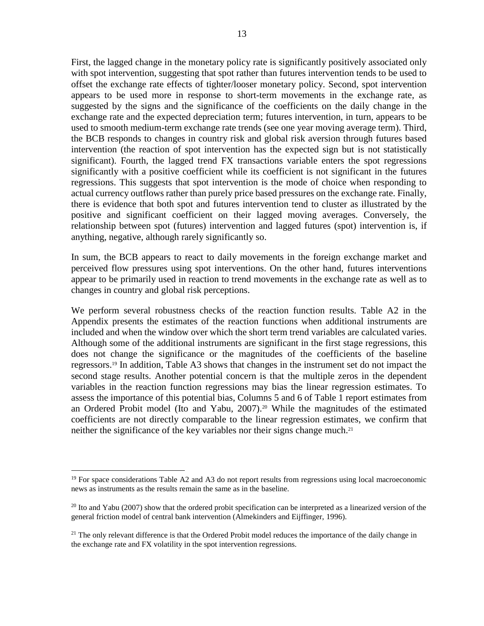First, the lagged change in the monetary policy rate is significantly positively associated only with spot intervention, suggesting that spot rather than futures intervention tends to be used to offset the exchange rate effects of tighter/looser monetary policy. Second, spot intervention appears to be used more in response to short-term movements in the exchange rate, as suggested by the signs and the significance of the coefficients on the daily change in the exchange rate and the expected depreciation term; futures intervention, in turn, appears to be used to smooth medium-term exchange rate trends (see one year moving average term). Third, the BCB responds to changes in country risk and global risk aversion through futures based intervention (the reaction of spot intervention has the expected sign but is not statistically significant). Fourth, the lagged trend FX transactions variable enters the spot regressions significantly with a positive coefficient while its coefficient is not significant in the futures regressions. This suggests that spot intervention is the mode of choice when responding to actual currency outflows rather than purely price based pressures on the exchange rate. Finally, there is evidence that both spot and futures intervention tend to cluster as illustrated by the positive and significant coefficient on their lagged moving averages. Conversely, the relationship between spot (futures) intervention and lagged futures (spot) intervention is, if anything, negative, although rarely significantly so.

In sum, the BCB appears to react to daily movements in the foreign exchange market and perceived flow pressures using spot interventions. On the other hand, futures interventions appear to be primarily used in reaction to trend movements in the exchange rate as well as to changes in country and global risk perceptions.

We perform several robustness checks of the reaction function results. Table A2 in the Appendix presents the estimates of the reaction functions when additional instruments are included and when the window over which the short term trend variables are calculated varies. Although some of the additional instruments are significant in the first stage regressions, this does not change the significance or the magnitudes of the coefficients of the baseline regressors.<sup>19</sup> In addition, Table A3 shows that changes in the instrument set do not impact the second stage results. Another potential concern is that the multiple zeros in the dependent variables in the reaction function regressions may bias the linear regression estimates. To assess the importance of this potential bias, Columns 5 and 6 of Table 1 report estimates from an Ordered Probit model (Ito and Yabu, 2007). <sup>20</sup> While the magnitudes of the estimated coefficients are not directly comparable to the linear regression estimates, we confirm that neither the significance of the key variables nor their signs change much. 21

 $19$  For space considerations Table A2 and A3 do not report results from regressions using local macroeconomic news as instruments as the results remain the same as in the baseline.

 $^{20}$  Ito and Yabu (2007) show that the ordered probit specification can be interpreted as a linearized version of the general friction model of central bank intervention (Almekinders and Eijffinger, 1996).

<sup>&</sup>lt;sup>21</sup> The only relevant difference is that the Ordered Probit model reduces the importance of the daily change in the exchange rate and FX volatility in the spot intervention regressions.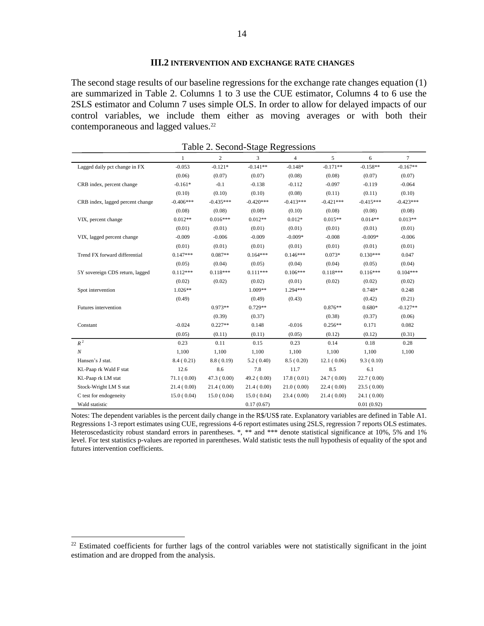#### **III.2 INTERVENTION AND EXCHANGE RATE CHANGES**

The second stage results of our baseline regressions for the exchange rate changes equation (1) are summarized in Table 2. Columns 1 to 3 use the CUE estimator, Columns 4 to 6 use the 2SLS estimator and Column 7 uses simple OLS. In order to allow for delayed impacts of our control variables, we include them either as moving averages or with both their contemporaneous and lagged values.<sup>22</sup>

|                                  | $\mathbf{1}$ | $\overline{c}$ | 3           | $\overline{\mathcal{L}}$ | 5           | 6           | $\tau$      |
|----------------------------------|--------------|----------------|-------------|--------------------------|-------------|-------------|-------------|
| Lagged daily pct change in FX    | $-0.053$     | $-0.121*$      | $-0.141**$  | $-0.148*$                | $-0.171**$  | $-0.158**$  | $-0.167**$  |
|                                  | (0.06)       | (0.07)         | (0.07)      | (0.08)                   | (0.08)      | (0.07)      | (0.07)      |
| CRB index, percent change        | $-0.161*$    | $-0.1$         | $-0.138$    | $-0.112$                 | $-0.097$    | $-0.119$    | $-0.064$    |
|                                  | (0.10)       | (0.10)         | (0.10)      | (0.08)                   | (0.11)      | (0.11)      | (0.10)      |
| CRB index, lagged percent change | $-0.406***$  | $-0.435***$    | $-0.420***$ | $-0.413***$              | $-0.421***$ | $-0.415***$ | $-0.423***$ |
|                                  | (0.08)       | (0.08)         | (0.08)      | (0.10)                   | (0.08)      | (0.08)      | (0.08)      |
| VIX, percent change              | $0.012**$    | $0.016***$     | $0.012**$   | $0.012*$                 | $0.015**$   | $0.014**$   | $0.013**$   |
|                                  | (0.01)       | (0.01)         | (0.01)      | (0.01)                   | (0.01)      | (0.01)      | (0.01)      |
| VIX, lagged percent change       | $-0.009$     | $-0.006$       | $-0.009$    | $-0.009*$                | $-0.008$    | $-0.009*$   | $-0.006$    |
|                                  | (0.01)       | (0.01)         | (0.01)      | (0.01)                   | (0.01)      | (0.01)      | (0.01)      |
| Trend FX forward differential    | $0.147***$   | $0.087**$      | $0.164***$  | $0.146***$               | $0.073*$    | $0.130***$  | 0.047       |
|                                  | (0.05)       | (0.04)         | (0.05)      | (0.04)                   | (0.04)      | (0.05)      | (0.04)      |
| 5Y sovereign CDS return, lagged  | $0.112***$   | $0.118***$     | $0.111***$  | $0.106***$               | $0.118***$  | $0.116***$  | $0.104***$  |
|                                  | (0.02)       | (0.02)         | (0.02)      | (0.01)                   | (0.02)      | (0.02)      | (0.02)      |
| Spot intervention                | $1.026**$    |                | 1.009**     | $1.294***$               |             | $0.748*$    | 0.248       |
|                                  | (0.49)       |                | (0.49)      | (0.43)                   |             | (0.42)      | (0.21)      |
| Futures intervention             |              | $0.973**$      | $0.729**$   |                          | $0.876**$   | $0.680*$    | $-0.127**$  |
|                                  |              | (0.39)         | (0.37)      |                          | (0.38)      | (0.37)      | (0.06)      |
| Constant                         | $-0.024$     | $0.227**$      | 0.148       | $-0.016$                 | $0.256**$   | 0.171       | 0.082       |
|                                  | (0.05)       | (0.11)         | (0.11)      | (0.05)                   | (0.12)      | (0.12)      | (0.31)      |
| $\boldsymbol{R}^{\,2}$           | 0.23         | 0.11           | 0.15        | 0.23                     | 0.14        | 0.18        | 0.28        |
| $\boldsymbol{N}$                 | 1,100        | 1,100          | 1,100       | 1,100                    | 1,100       | 1,100       | 1,100       |
| Hansen's J stat.                 | 8.4(0.21)    | 8.8(0.19)      | 5.2(0.40)   | 8.5(0.20)                | 12.1(0.06)  | 9.3(0.10)   |             |
| Kl.-Paap rk Wald F stat          | 12.6         | 8.6            | 7.8         | 11.7                     | 8.5         | 6.1         |             |
| Kl.-Paap rk LM stat              | 71.1(0.00)   | 47.3(0.00)     | 49.2(0.00)  | 17.8(0.01)               | 24.7(0.00)  | 22.7(0.00)  |             |
| Stock-Wright LM S stat           | 21.4(0.00)   | 21.4(0.00)     | 21.4(0.00)  | 21.0(0.00)               | 22.4(0.00)  | 23.5(0.00)  |             |
| C test for endogeneity           | 15.0(0.04)   | 15.0(0.04)     | 15.0(0.04)  | 23.4(0.00)               | 21.4(0.00)  | 24.1 (0.00) |             |
| Wald statistic                   |              |                | 0.17(0.67)  |                          |             | 0.01(0.92)  |             |

Table 2. Second-Stage Regressions

Notes: The dependent variables is the percent daily change in the R\$/US\$ rate. Explanatory variables are defined in Table A1. Regressions 1-3 report estimates using CUE, regressions 4-6 report estimates using 2SLS, regression 7 reports OLS estimates. Heteroscedasticity robust standard errors in parentheses. \*, \*\* and \*\*\* denote statistical significance at 10%, 5% and 1% level. For test statistics p-values are reported in parentheses. Wald statistic tests the null hypothesis of equality of the spot and futures intervention coefficients.

 $22$  Estimated coefficients for further lags of the control variables were not statistically significant in the joint estimation and are dropped from the analysis.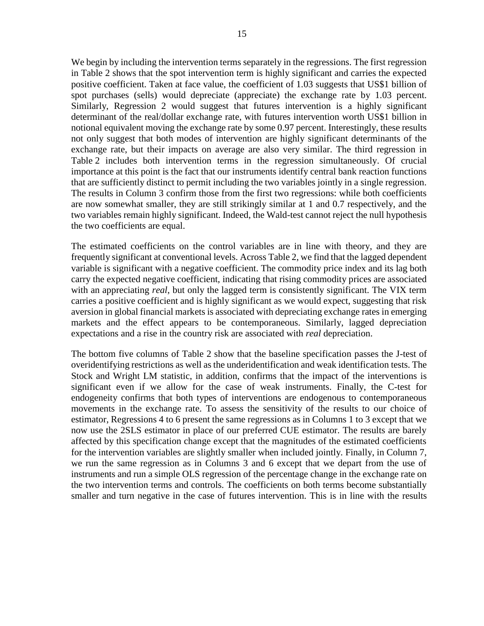We begin by including the intervention terms separately in the regressions. The first regression in Table 2 shows that the spot intervention term is highly significant and carries the expected positive coefficient. Taken at face value, the coefficient of 1.03 suggests that US\$1 billion of spot purchases (sells) would depreciate (appreciate) the exchange rate by 1.03 percent. Similarly, Regression 2 would suggest that futures intervention is a highly significant determinant of the real/dollar exchange rate, with futures intervention worth US\$1 billion in notional equivalent moving the exchange rate by some 0.97 percent. Interestingly, these results not only suggest that both modes of intervention are highly significant determinants of the exchange rate, but their impacts on average are also very similar. The third regression in Table 2 includes both intervention terms in the regression simultaneously. Of crucial importance at this point is the fact that our instruments identify central bank reaction functions that are sufficiently distinct to permit including the two variables jointly in a single regression. The results in Column 3 confirm those from the first two regressions: while both coefficients are now somewhat smaller, they are still strikingly similar at 1 and 0.7 respectively, and the two variables remain highly significant. Indeed, the Wald-test cannot reject the null hypothesis the two coefficients are equal.

The estimated coefficients on the control variables are in line with theory, and they are frequently significant at conventional levels. Across Table 2, we find that the lagged dependent variable is significant with a negative coefficient. The commodity price index and its lag both carry the expected negative coefficient, indicating that rising commodity prices are associated with an appreciating *real*, but only the lagged term is consistently significant. The VIX term carries a positive coefficient and is highly significant as we would expect, suggesting that risk aversion in global financial markets is associated with depreciating exchange rates in emerging markets and the effect appears to be contemporaneous. Similarly, lagged depreciation expectations and a rise in the country risk are associated with *real* depreciation.

The bottom five columns of Table 2 show that the baseline specification passes the J-test of overidentifying restrictions as well as the underidentification and weak identification tests. The Stock and Wright LM statistic, in addition, confirms that the impact of the interventions is significant even if we allow for the case of weak instruments. Finally, the C-test for endogeneity confirms that both types of interventions are endogenous to contemporaneous movements in the exchange rate. To assess the sensitivity of the results to our choice of estimator, Regressions 4 to 6 present the same regressions as in Columns 1 to 3 except that we now use the 2SLS estimator in place of our preferred CUE estimator. The results are barely affected by this specification change except that the magnitudes of the estimated coefficients for the intervention variables are slightly smaller when included jointly. Finally, in Column 7, we run the same regression as in Columns 3 and 6 except that we depart from the use of instruments and run a simple OLS regression of the percentage change in the exchange rate on the two intervention terms and controls. The coefficients on both terms become substantially smaller and turn negative in the case of futures intervention. This is in line with the results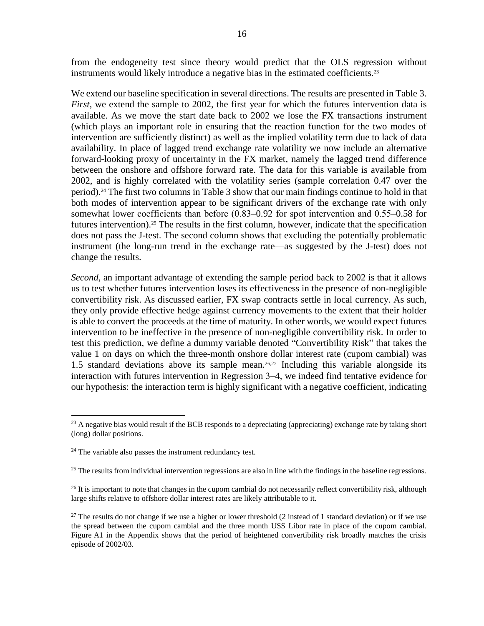from the endogeneity test since theory would predict that the OLS regression without instruments would likely introduce a negative bias in the estimated coefficients. 23

We extend our baseline specification in several directions. The results are presented in Table 3. *First*, we extend the sample to 2002, the first year for which the futures intervention data is available. As we move the start date back to 2002 we lose the FX transactions instrument (which plays an important role in ensuring that the reaction function for the two modes of intervention are sufficiently distinct) as well as the implied volatility term due to lack of data availability. In place of lagged trend exchange rate volatility we now include an alternative forward-looking proxy of uncertainty in the FX market, namely the lagged trend difference between the onshore and offshore forward rate. The data for this variable is available from 2002, and is highly correlated with the volatility series (sample correlation 0.47 over the period).<sup>24</sup> The first two columns in Table 3 show that our main findings continue to hold in that both modes of intervention appear to be significant drivers of the exchange rate with only somewhat lower coefficients than before  $(0.83-0.92)$  for spot intervention and  $0.55-0.58$  for futures intervention).<sup>25</sup> The results in the first column, however, indicate that the specification does not pass the J-test. The second column shows that excluding the potentially problematic instrument (the long-run trend in the exchange rate—as suggested by the J-test) does not change the results.

*Second*, an important advantage of extending the sample period back to 2002 is that it allows us to test whether futures intervention loses its effectiveness in the presence of non-negligible convertibility risk. As discussed earlier, FX swap contracts settle in local currency. As such, they only provide effective hedge against currency movements to the extent that their holder is able to convert the proceeds at the time of maturity. In other words, we would expect futures intervention to be ineffective in the presence of non-negligible convertibility risk. In order to test this prediction, we define a dummy variable denoted "Convertibility Risk" that takes the value 1 on days on which the three-month onshore dollar interest rate (cupom cambial) was 1.5 standard deviations above its sample mean. 26,27 Including this variable alongside its interaction with futures intervention in Regression 3–4, we indeed find tentative evidence for our hypothesis: the interaction term is highly significant with a negative coefficient, indicating

 $\overline{a}$  $^{23}$  A negative bias would result if the BCB responds to a depreciating (appreciating) exchange rate by taking short (long) dollar positions.

<sup>&</sup>lt;sup>24</sup> The variable also passes the instrument redundancy test.

 $^{25}$  The results from individual intervention regressions are also in line with the findings in the baseline regressions.

 $^{26}$  It is important to note that changes in the cupom cambial do not necessarily reflect convertibility risk, although large shifts relative to offshore dollar interest rates are likely attributable to it.

<sup>&</sup>lt;sup>27</sup> The results do not change if we use a higher or lower threshold  $(2 \text{ instead of } 1 \text{ standard deviation})$  or if we use the spread between the cupom cambial and the three month US\$ Libor rate in place of the cupom cambial. Figure A1 in the Appendix shows that the period of heightened convertibility risk broadly matches the crisis episode of 2002/03.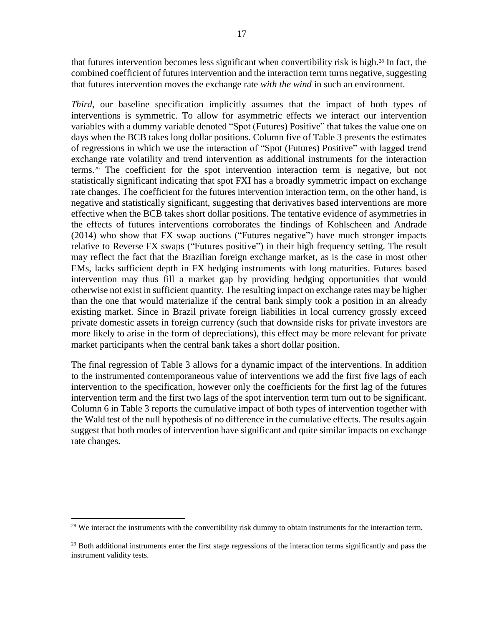that futures intervention becomes less significant when convertibility risk is high.<sup>28</sup> In fact, the combined coefficient of futures intervention and the interaction term turns negative, suggesting that futures intervention moves the exchange rate *with the wind* in such an environment.

*Third*, our baseline specification implicitly assumes that the impact of both types of interventions is symmetric. To allow for asymmetric effects we interact our intervention variables with a dummy variable denoted "Spot (Futures) Positive" that takes the value one on days when the BCB takes long dollar positions. Column five of Table 3 presents the estimates of regressions in which we use the interaction of "Spot (Futures) Positive" with lagged trend exchange rate volatility and trend intervention as additional instruments for the interaction terms.<sup>29</sup> The coefficient for the spot intervention interaction term is negative, but not statistically significant indicating that spot FXI has a broadly symmetric impact on exchange rate changes. The coefficient for the futures intervention interaction term, on the other hand, is negative and statistically significant, suggesting that derivatives based interventions are more effective when the BCB takes short dollar positions. The tentative evidence of asymmetries in the effects of futures interventions corroborates the findings of Kohlscheen and Andrade (2014) who show that FX swap auctions ("Futures negative") have much stronger impacts relative to Reverse FX swaps ("Futures positive") in their high frequency setting. The result may reflect the fact that the Brazilian foreign exchange market, as is the case in most other EMs, lacks sufficient depth in FX hedging instruments with long maturities. Futures based intervention may thus fill a market gap by providing hedging opportunities that would otherwise not exist in sufficient quantity. The resulting impact on exchange rates may be higher than the one that would materialize if the central bank simply took a position in an already existing market. Since in Brazil private foreign liabilities in local currency grossly exceed private domestic assets in foreign currency (such that downside risks for private investors are more likely to arise in the form of depreciations), this effect may be more relevant for private market participants when the central bank takes a short dollar position.

The final regression of Table 3 allows for a dynamic impact of the interventions. In addition to the instrumented contemporaneous value of interventions we add the first five lags of each intervention to the specification, however only the coefficients for the first lag of the futures intervention term and the first two lags of the spot intervention term turn out to be significant. Column 6 in Table 3 reports the cumulative impact of both types of intervention together with the Wald test of the null hypothesis of no difference in the cumulative effects. The results again suggest that both modes of intervention have significant and quite similar impacts on exchange rate changes.

 $28$  We interact the instruments with the convertibility risk dummy to obtain instruments for the interaction term.

 $^{29}$  Both additional instruments enter the first stage regressions of the interaction terms significantly and pass the instrument validity tests.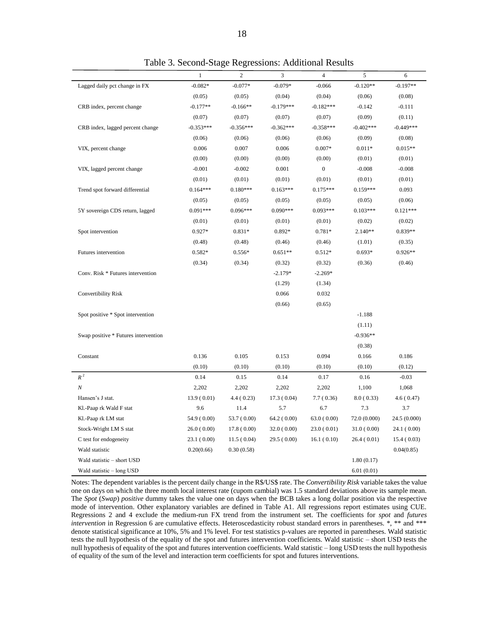|                                      | $\mathbf{1}$ | $\mathbf{2}$ | 3           | $\sqrt{4}$   | 5            | 6            |
|--------------------------------------|--------------|--------------|-------------|--------------|--------------|--------------|
| Lagged daily pct change in FX        | $-0.082*$    | $-0.077*$    | $-0.079*$   | $-0.066$     | $-0.120**$   | $-0.197**$   |
|                                      | (0.05)       | (0.05)       | (0.04)      | (0.04)       | (0.06)       | (0.08)       |
| CRB index, percent change            | $-0.177**$   | $-0.166**$   | $-0.179***$ | $-0.182***$  | $-0.142$     | $-0.111$     |
|                                      | (0.07)       | (0.07)       | (0.07)      | (0.07)       | (0.09)       | (0.11)       |
| CRB index, lagged percent change     | $-0.353***$  | $-0.356***$  | $-0.362***$ | $-0.358***$  | $-0.402***$  | $-0.449***$  |
|                                      | (0.06)       | (0.06)       | (0.06)      | (0.06)       | (0.09)       | (0.08)       |
| VIX, percent change                  | 0.006        | 0.007        | 0.006       | $0.007*$     | $0.011*$     | $0.015**$    |
|                                      | (0.00)       | (0.00)       | (0.00)      | (0.00)       | (0.01)       | (0.01)       |
| VIX, lagged percent change           | $-0.001$     | $-0.002$     | 0.001       | $\mathbf{0}$ | $-0.008$     | $-0.008$     |
|                                      | (0.01)       | (0.01)       | (0.01)      | (0.01)       | (0.01)       | (0.01)       |
| Trend spot forward differential      | $0.164***$   | $0.180***$   | $0.163***$  | $0.175***$   | $0.159***$   | 0.093        |
|                                      | (0.05)       | (0.05)       | (0.05)      | (0.05)       | (0.05)       | (0.06)       |
| 5Y sovereign CDS return, lagged      | $0.091***$   | $0.096***$   | $0.090***$  | $0.093***$   | $0.103***$   | $0.121***$   |
|                                      | (0.01)       | (0.01)       | (0.01)      | (0.01)       | (0.02)       | (0.02)       |
| Spot intervention                    | $0.927*$     | 0.831*       | 0.892*      | $0.781*$     | $2.140**$    | $0.839**$    |
|                                      | (0.48)       | (0.48)       | (0.46)      | (0.46)       | (1.01)       | (0.35)       |
| Futures intervention                 | $0.582*$     | $0.556*$     | $0.651**$   | $0.512*$     | $0.693*$     | $0.926**$    |
|                                      | (0.34)       | (0.34)       | (0.32)      | (0.32)       | (0.36)       | (0.46)       |
| Conv. Risk * Futures intervention    |              |              | $-2.179*$   | $-2.269*$    |              |              |
|                                      |              |              | (1.29)      | (1.34)       |              |              |
| Convertibility Risk                  |              |              | 0.066       | 0.032        |              |              |
|                                      |              |              | (0.66)      | (0.65)       |              |              |
| Spot positive * Spot intervention    |              |              |             |              | $-1.188$     |              |
|                                      |              |              |             |              | (1.11)       |              |
| Swap positive * Futures intervention |              |              |             |              | $-0.936**$   |              |
|                                      |              |              |             |              | (0.38)       |              |
| Constant                             | 0.136        | 0.105        | 0.153       | 0.094        | 0.166        | 0.186        |
|                                      | (0.10)       | (0.10)       | (0.10)      | (0.10)       | (0.10)       | (0.12)       |
| $R^2$                                | 0.14         | 0.15         | 0.14        | 0.17         | 0.16         | $-0.03$      |
| N                                    | 2,202        | 2,202        | 2,202       | 2,202        | 1,100        | 1,068        |
| Hansen's J stat.                     | 13.9(0.01)   | 4.4(0.23)    | 17.3(0.04)  | 7.7(0.36)    | 8.0(0.33)    | 4.6(0.47)    |
| Kl.-Paap rk Wald F stat              | 9.6          | 11.4         | 5.7         | 6.7          | 7.3          | 3.7          |
| Kl.-Paap rk LM stat                  | 54.9 (0.00)  | 53.7 (0.00)  | 64.2(0.00)  | 63.0(0.00)   | 72.0 (0.000) | 24.5 (0.000) |
| Stock-Wright LM S stat               | 26.0(0.00)   | 17.8(0.00)   | 32.0(0.00)  | 23.0(0.01)   | 31.0(0.00)   | 24.1 (0.00)  |
| C test for endogeneity               | 23.1(0.00)   | 11.5(0.04)   | 29.5(0.00)  | 16.1(0.10)   | 26.4(0.01)   | 15.4(0.03)   |
| Wald statistic                       | 0.20(0.66)   | 0.30(0.58)   |             |              |              | 0.04(0.85)   |
| Wald statistic - short USD           |              |              |             |              | 1.80(0.17)   |              |
| Wald statistic – long USD            |              |              |             |              | 6.01(0.01)   |              |

Table 3. Second-Stage Regressions: Additional Results

Notes: The dependent variables is the percent daily change in the R\$/US\$ rate. The *Convertibility Risk* variable takes the value one on days on which the three month local interest rate (cupom cambial) was 1.5 standard deviations above its sample mean. The *Spot* (*Swap*) *positive* dummy takes the value one on days when the BCB takes a long dollar position via the respective mode of intervention. Other explanatory variables are defined in Table A1. All regressions report estimates using CUE. Regressions 2 and 4 exclude the medium-run FX trend from the instrument set. The coefficients for *spot* and *futures intervention* in Regression 6 are cumulative effects. Heteroscedasticity robust standard errors in parentheses. \*, \*\* and \*\*\* denote statistical significance at 10%, 5% and 1% level. For test statistics p-values are reported in parentheses. Wald statistic tests the null hypothesis of the equality of the spot and futures intervention coefficients. Wald statistic – short USD tests the null hypothesis of equality of the spot and futures intervention coefficients. Wald statistic – long USD tests the null hypothesis of equality of the sum of the level and interaction term coefficients for spot and futures interventions.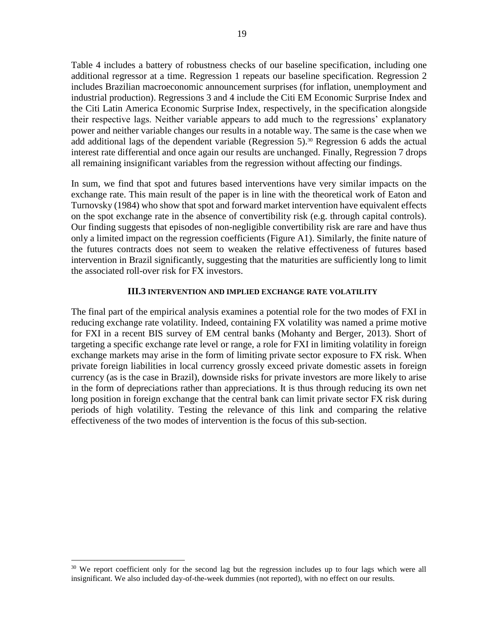Table 4 includes a battery of robustness checks of our baseline specification, including one additional regressor at a time. Regression 1 repeats our baseline specification. Regression 2 includes Brazilian macroeconomic announcement surprises (for inflation, unemployment and industrial production). Regressions 3 and 4 include the Citi EM Economic Surprise Index and the Citi Latin America Economic Surprise Index, respectively, in the specification alongside their respective lags. Neither variable appears to add much to the regressions' explanatory power and neither variable changes our results in a notable way. The same is the case when we add additional lags of the dependent variable (Regression  $5$ ).<sup>30</sup> Regression 6 adds the actual interest rate differential and once again our results are unchanged. Finally, Regression 7 drops all remaining insignificant variables from the regression without affecting our findings.

In sum, we find that spot and futures based interventions have very similar impacts on the exchange rate. This main result of the paper is in line with the theoretical work of Eaton and Turnovsky (1984) who show that spot and forward market intervention have equivalent effects on the spot exchange rate in the absence of convertibility risk (e.g. through capital controls). Our finding suggests that episodes of non-negligible convertibility risk are rare and have thus only a limited impact on the regression coefficients (Figure A1). Similarly, the finite nature of the futures contracts does not seem to weaken the relative effectiveness of futures based intervention in Brazil significantly, suggesting that the maturities are sufficiently long to limit the associated roll-over risk for FX investors.

#### **III.3 INTERVENTION AND IMPLIED EXCHANGE RATE VOLATILITY**

The final part of the empirical analysis examines a potential role for the two modes of FXI in reducing exchange rate volatility. Indeed, containing FX volatility was named a prime motive for FXI in a recent BIS survey of EM central banks (Mohanty and Berger, 2013). Short of targeting a specific exchange rate level or range, a role for FXI in limiting volatility in foreign exchange markets may arise in the form of limiting private sector exposure to FX risk. When private foreign liabilities in local currency grossly exceed private domestic assets in foreign currency (as is the case in Brazil), downside risks for private investors are more likely to arise in the form of depreciations rather than appreciations. It is thus through reducing its own net long position in foreign exchange that the central bank can limit private sector FX risk during periods of high volatility. Testing the relevance of this link and comparing the relative effectiveness of the two modes of intervention is the focus of this sub-section.

<sup>&</sup>lt;sup>30</sup> We report coefficient only for the second lag but the regression includes up to four lags which were all insignificant. We also included day-of-the-week dummies (not reported), with no effect on our results.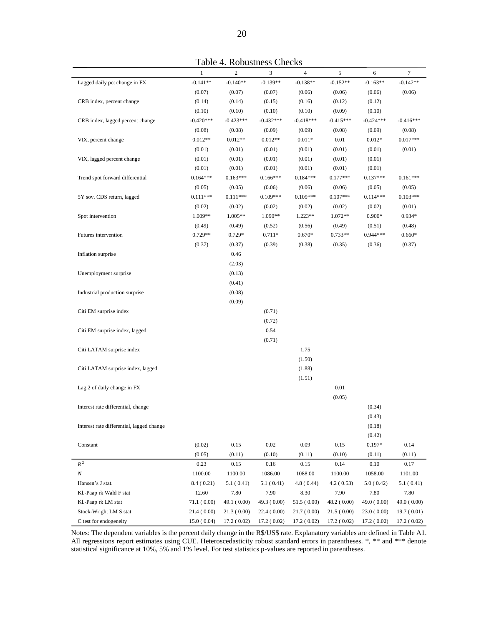|                                           | $\,1\,$     | $\sqrt{2}$  | 3           | $\overline{4}$ | $\mathfrak s$ | 6           | $\boldsymbol{7}$ |
|-------------------------------------------|-------------|-------------|-------------|----------------|---------------|-------------|------------------|
| Lagged daily pct change in FX             | $-0.141**$  | $-0.140**$  | $-0.139**$  | $-0.138**$     | $-0.152**$    | $-0.163**$  | $-0.142**$       |
|                                           | (0.07)      | (0.07)      | (0.07)      | (0.06)         | (0.06)        | (0.06)      | (0.06)           |
| CRB index, percent change                 | (0.14)      | (0.14)      | (0.15)      | (0.16)         | (0.12)        | (0.12)      |                  |
|                                           | (0.10)      | (0.10)      | (0.10)      | (0.10)         | (0.09)        | (0.10)      |                  |
| CRB index, lagged percent change          | $-0.420***$ | $-0.423***$ | $-0.432***$ | $-0.418***$    | $-0.415***$   | $-0.424***$ | $-0.416***$      |
|                                           | (0.08)      | (0.08)      | (0.09)      | (0.09)         | (0.08)        | (0.09)      | (0.08)           |
| VIX, percent change                       | $0.012**$   | $0.012**$   | $0.012**$   | $0.011*$       | 0.01          | $0.012*$    | $0.017***$       |
|                                           | (0.01)      | (0.01)      | (0.01)      | (0.01)         | (0.01)        | (0.01)      | (0.01)           |
| VIX, lagged percent change                | (0.01)      | (0.01)      | (0.01)      | (0.01)         | (0.01)        | (0.01)      |                  |
|                                           | (0.01)      | (0.01)      | (0.01)      | (0.01)         | (0.01)        | (0.01)      |                  |
| Trend spot forward differential           | $0.164***$  | $0.163***$  | $0.166***$  | $0.184***$     | $0.177***$    | $0.137***$  | $0.161***$       |
|                                           | (0.05)      | (0.05)      | (0.06)      | (0.06)         | (0.06)        | (0.05)      | (0.05)           |
| 5Y sov. CDS return, lagged                | $0.111***$  | $0.111***$  | $0.109***$  | $0.109***$     | $0.107***$    | $0.114***$  | $0.103***$       |
|                                           | (0.02)      | (0.02)      | (0.02)      | (0.02)         | (0.02)        | (0.02)      | (0.01)           |
| Spot intervention                         | 1.009**     | $1.005**$   | 1.090**     | 1.223**        | 1.072**       | $0.900*$    | $0.934*$         |
|                                           | (0.49)      | (0.49)      | (0.52)      | (0.56)         | (0.49)        | (0.51)      | (0.48)           |
| Futures intervention                      | $0.729**$   | 0.729*      | $0.711*$    | $0.670*$       | $0.733**$     | $0.944***$  | $0.660*$         |
|                                           | (0.37)      | (0.37)      | (0.39)      | (0.38)         | (0.35)        | (0.36)      | (0.37)           |
| Inflation surprise                        |             | 0.46        |             |                |               |             |                  |
|                                           |             | (2.03)      |             |                |               |             |                  |
| Unemployment surprise                     |             | (0.13)      |             |                |               |             |                  |
|                                           |             | (0.41)      |             |                |               |             |                  |
| Industrial production surprise            |             | (0.08)      |             |                |               |             |                  |
|                                           |             | (0.09)      |             |                |               |             |                  |
| Citi EM surprise index                    |             |             | (0.71)      |                |               |             |                  |
|                                           |             |             | (0.72)      |                |               |             |                  |
| Citi EM surprise index, lagged            |             |             | 0.54        |                |               |             |                  |
|                                           |             |             | (0.71)      |                |               |             |                  |
| Citi LATAM surprise index                 |             |             |             | 1.75           |               |             |                  |
|                                           |             |             |             | (1.50)         |               |             |                  |
| Citi LATAM surprise index, lagged         |             |             |             | (1.88)         |               |             |                  |
|                                           |             |             |             | (1.51)         |               |             |                  |
| Lag 2 of daily change in FX               |             |             |             |                | 0.01          |             |                  |
|                                           |             |             |             |                | (0.05)        |             |                  |
| Interest rate differential, change        |             |             |             |                |               | (0.34)      |                  |
|                                           |             |             |             |                |               | (0.43)      |                  |
| Interest rate differential, lagged change |             |             |             |                |               | (0.18)      |                  |
|                                           |             |             |             |                |               | (0.42)      |                  |
| Constant                                  | (0.02)      | 0.15        | $0.02\,$    | 0.09           | $0.15\,$      | 0.197*      | 0.14             |
|                                           | (0.05)      | (0.11)      | (0.10)      | (0.11)         | (0.10)        | (0.11)      | (0.11)           |
| $\boldsymbol{R}^{\,2}$                    | 0.23        | 0.15        | 0.16        | 0.15           | 0.14          | 0.10        | 0.17             |
| $\cal N$                                  | 1100.00     | 1100.00     | 1086.00     | 1088.00        | 1100.00       | 1058.00     | 1101.00          |
| Hansen's J stat.                          | 8.4 (0.21)  | 5.1(0.41)   | 5.1(0.41)   | 4.8(0.44)      | 4.2(0.53)     | 5.0(0.42)   | 5.1(0.41)        |
| Kl.-Paap rk Wald F stat                   | 12.60       | 7.80        | 7.90        | 8.30           | 7.90          | 7.80        | 7.80             |
| Kl.-Paap rk LM stat                       | 71.1(0.00)  | 49.1 (0.00) | 49.3 (0.00) | 51.5(0.00)     | 48.2(0.00)    | 49.0 (0.00) | 49.0(0.00)       |
| Stock-Wright LM S stat                    | 21.4(0.00)  | 21.3(0.00)  | 22.4 (0.00) | 21.7(0.00)     | 21.5(0.00)    | 23.0(0.00)  | 19.7(0.01)       |
| C test for endogeneity                    | 15.0(0.04)  | 17.2(0.02)  | 17.2(0.02)  | 17.2(0.02)     | 17.2(0.02)    | 17.2(0.02)  | 17.2(0.02)       |

Notes: The dependent variables is the percent daily change in the R\$/US\$ rate. Explanatory variables are defined in Table A1. All regressions report estimates using CUE. Heteroscedasticity robust standard errors in parentheses. \*, \*\* and \*\*\* denote statistical significance at 10%, 5% and 1% level. For test statistics p-values are reported in parentheses.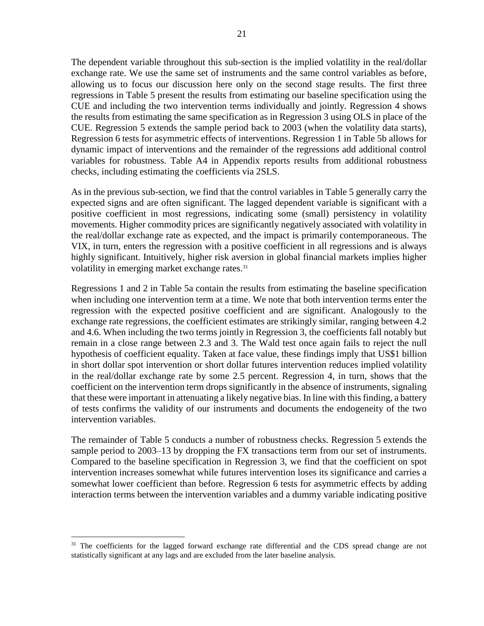The dependent variable throughout this sub-section is the implied volatility in the real/dollar exchange rate. We use the same set of instruments and the same control variables as before, allowing us to focus our discussion here only on the second stage results. The first three regressions in Table 5 present the results from estimating our baseline specification using the CUE and including the two intervention terms individually and jointly. Regression 4 shows the results from estimating the same specification as in Regression 3 using OLS in place of the CUE. Regression 5 extends the sample period back to 2003 (when the volatility data starts), Regression 6 tests for asymmetric effects of interventions. Regression 1 in Table 5b allows for dynamic impact of interventions and the remainder of the regressions add additional control variables for robustness. Table A4 in Appendix reports results from additional robustness checks, including estimating the coefficients via 2SLS.

As in the previous sub-section, we find that the control variables in Table 5 generally carry the expected signs and are often significant. The lagged dependent variable is significant with a positive coefficient in most regressions, indicating some (small) persistency in volatility movements. Higher commodity prices are significantly negatively associated with volatility in the real/dollar exchange rate as expected, and the impact is primarily contemporaneous. The VIX, in turn, enters the regression with a positive coefficient in all regressions and is always highly significant. Intuitively, higher risk aversion in global financial markets implies higher volatility in emerging market exchange rates.<sup>31</sup>

Regressions 1 and 2 in Table 5a contain the results from estimating the baseline specification when including one intervention term at a time. We note that both intervention terms enter the regression with the expected positive coefficient and are significant. Analogously to the exchange rate regressions, the coefficient estimates are strikingly similar, ranging between 4.2 and 4.6. When including the two terms jointly in Regression 3, the coefficients fall notably but remain in a close range between 2.3 and 3. The Wald test once again fails to reject the null hypothesis of coefficient equality. Taken at face value, these findings imply that US\$1 billion in short dollar spot intervention or short dollar futures intervention reduces implied volatility in the real/dollar exchange rate by some 2.5 percent. Regression 4, in turn, shows that the coefficient on the intervention term drops significantly in the absence of instruments, signaling that these were important in attenuating a likely negative bias. In line with this finding, a battery of tests confirms the validity of our instruments and documents the endogeneity of the two intervention variables.

The remainder of Table 5 conducts a number of robustness checks. Regression 5 extends the sample period to 2003–13 by dropping the FX transactions term from our set of instruments. Compared to the baseline specification in Regression 3, we find that the coefficient on spot intervention increases somewhat while futures intervention loses its significance and carries a somewhat lower coefficient than before. Regression 6 tests for asymmetric effects by adding interaction terms between the intervention variables and a dummy variable indicating positive

<sup>&</sup>lt;sup>31</sup> The coefficients for the lagged forward exchange rate differential and the CDS spread change are not statistically significant at any lags and are excluded from the later baseline analysis.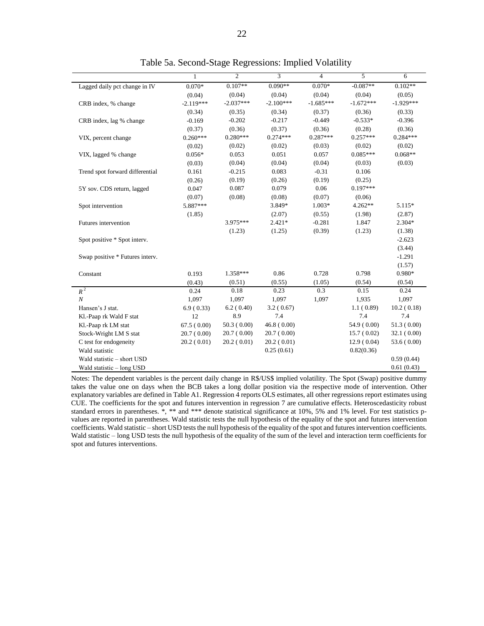|                                 | 1           | $\overline{2}$ | $\overline{3}$ | $\overline{4}$ | $\overline{5}$ | 6           |
|---------------------------------|-------------|----------------|----------------|----------------|----------------|-------------|
| Lagged daily pct change in IV   | $0.070*$    | $0.107**$      | $0.090**$      | $0.070*$       | $-0.087**$     | $0.102**$   |
|                                 | (0.04)      | (0.04)         | (0.04)         | (0.04)         | (0.04)         | (0.05)      |
| CRB index, % change             | $-2.119***$ | $-2.037***$    | $-2.100***$    | $-1.685***$    | $-1.672***$    | $-1.929***$ |
|                                 | (0.34)      | (0.35)         | (0.34)         | (0.37)         | (0.36)         | (0.33)      |
| CRB index, lag % change         | $-0.169$    | $-0.202$       | $-0.217$       | $-0.449$       | $-0.533*$      | $-0.396$    |
|                                 | (0.37)      | (0.36)         | (0.37)         | (0.36)         | (0.28)         | (0.36)      |
| VIX, percent change             | $0.260***$  | $0.280***$     | $0.274***$     | $0.287***$     | $0.257***$     | $0.284***$  |
|                                 | (0.02)      | (0.02)         | (0.02)         | (0.03)         | (0.02)         | (0.02)      |
| VIX, lagged % change            | $0.056*$    | 0.053          | 0.051          | 0.057          | $0.085***$     | $0.068**$   |
|                                 | (0.03)      | (0.04)         | (0.04)         | (0.04)         | (0.03)         | (0.03)      |
| Trend spot forward differential | 0.161       | $-0.215$       | 0.083          | $-0.31$        | 0.106          |             |
|                                 | (0.26)      | (0.19)         | (0.26)         | (0.19)         | (0.25)         |             |
| 5Y sov. CDS return, lagged      | 0.047       | 0.087          | 0.079          | 0.06           | $0.197***$     |             |
|                                 | (0.07)      | (0.08)         | (0.08)         | (0.07)         | (0.06)         |             |
| Spot intervention               | 5.887***    |                | 3.849*         | $1.003*$       | $4.262**$      | 5.115*      |
|                                 | (1.85)      |                | (2.07)         | (0.55)         | (1.98)         | (2.87)      |
| Futures intervention            |             | 3.975 ***      | $2.421*$       | $-0.281$       | 1.847          | $2.304*$    |
|                                 |             | (1.23)         | (1.25)         | (0.39)         | (1.23)         | (1.38)      |
| Spot positive * Spot interv.    |             |                |                |                |                | $-2.623$    |
|                                 |             |                |                |                |                | (3.44)      |
| Swap positive * Futures interv. |             |                |                |                |                | $-1.291$    |
|                                 |             |                |                |                |                | (1.57)      |
| Constant                        | 0.193       | $1.358***$     | 0.86           | 0.728          | 0.798          | 0.980*      |
|                                 | (0.43)      | (0.51)         | (0.55)         | (1.05)         | (0.54)         | (0.54)      |
| $R^2$                           | 0.24        | 0.18           | 0.23           | 0.3            | 0.15           | 0.24        |
| N                               | 1,097       | 1,097          | 1,097          | 1,097          | 1,935          | 1,097       |
| Hansen's J stat.                | 6.9(0.33)   | 6.2(0.40)      | 3.2(0.67)      |                | 1.1(0.89)      | 10.2(0.18)  |
| Kl.-Paap rk Wald F stat         | 12          | 8.9            | 7.4            |                | 7.4            | 7.4         |
| Kl.-Paap rk LM stat             | 67.5(0.00)  | 50.3(0.00)     | 46.8(0.00)     |                | 54.9 (0.00)    | 51.3(0.00)  |
| Stock-Wright LM S stat          | 20.7(0.00)  | 20.7(0.00)     | 20.7(0.00)     |                | 15.7(0.02)     | 32.1(0.00)  |
| C test for endogeneity          | 20.2(0.01)  | 20.2(0.01)     | 20.2(0.01)     |                | 12.9(0.04)     | 53.6(0.00)  |
| Wald statistic                  |             |                | 0.25(0.61)     |                | 0.82(0.36)     |             |
| Wald statistic - short USD      |             |                |                |                |                | 0.59(0.44)  |
| Wald statistic - long USD       |             |                |                |                |                | 0.61(0.43)  |

Table 5a. Second-Stage Regressions: Implied Volatility

L

Notes: The dependent variables is the percent daily change in R\$/US\$ implied volatility. The Spot (Swap) positive dummy takes the value one on days when the BCB takes a long dollar position via the respective mode of intervention. Other explanatory variables are defined in Table A1. Regression 4 reports OLS estimates, all other regressions report estimates using CUE. The coefficients for the spot and futures intervention in regression 7 are cumulative effects. Heteroscedasticity robust standard errors in parentheses. \*, \*\* and \*\*\* denote statistical significance at 10%, 5% and 1% level. For test statistics pvalues are reported in parentheses. Wald statistic tests the null hypothesis of the equality of the spot and futures intervention coefficients. Wald statistic – short USD tests the null hypothesis of the equality of the spot and futures intervention coefficients. Wald statistic – long USD tests the null hypothesis of the equality of the sum of the level and interaction term coefficients for spot and futures interventions.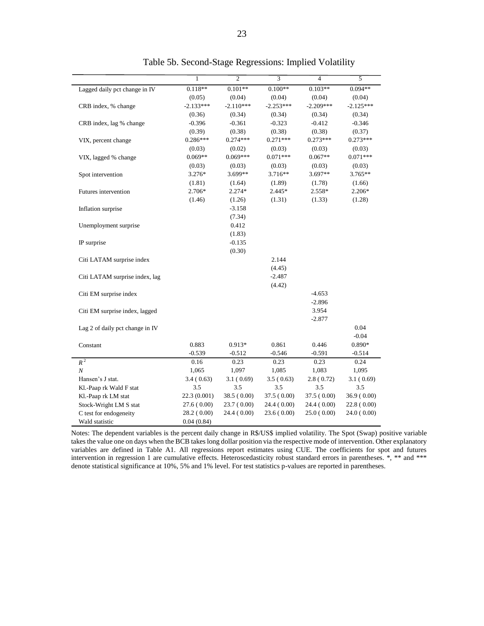|                                 | $\mathbf{1}$ | $\overline{2}$ | $\overline{3}$ | $\overline{4}$ | $\overline{5}$ |
|---------------------------------|--------------|----------------|----------------|----------------|----------------|
| Lagged daily pct change in IV   | $0.118**$    | $0.101**$      | $0.100**$      | $0.103**$      | $0.094**$      |
|                                 | (0.05)       | (0.04)         | (0.04)         | (0.04)         | (0.04)         |
| CRB index, % change             | $-2.133***$  | $-2.110***$    | $-2.253***$    | $-2.209***$    | $-2.125***$    |
|                                 | (0.36)       | (0.34)         | (0.34)         | (0.34)         | (0.34)         |
| CRB index, lag % change         | $-0.396$     | $-0.361$       | $-0.323$       | $-0.412$       | $-0.346$       |
|                                 | (0.39)       | (0.38)         | (0.38)         | (0.38)         | (0.37)         |
| VIX, percent change             | $0.286***$   | $0.274***$     | $0.271***$     | $0.273***$     | $0.273***$     |
|                                 | (0.03)       | (0.02)         | (0.03)         | (0.03)         | (0.03)         |
| VIX, lagged % change            | $0.069**$    | $0.069***$     | $0.071***$     | $0.067**$      | $0.071***$     |
|                                 | (0.03)       | (0.03)         | (0.03)         | (0.03)         | (0.03)         |
| Spot intervention               | 3.276*       | 3.699**        | 3.716**        | 3.697**        | $3.765**$      |
|                                 | (1.81)       | (1.64)         | (1.89)         | (1.78)         | (1.66)         |
| Futures intervention            | 2.706*       | $2.274*$       | 2.445*         | 2.558*         | 2.206*         |
|                                 | (1.46)       | (1.26)         | (1.31)         | (1.33)         | (1.28)         |
| Inflation surprise              |              | $-3.158$       |                |                |                |
|                                 |              | (7.34)         |                |                |                |
| Unemployment surprise           |              | 0.412          |                |                |                |
|                                 |              | (1.83)         |                |                |                |
| IP surprise                     |              | $-0.135$       |                |                |                |
|                                 |              | (0.30)         |                |                |                |
| Citi LATAM surprise index       |              |                | 2.144          |                |                |
|                                 |              |                | (4.45)         |                |                |
| Citi LATAM surprise index, lag  |              |                | $-2.487$       |                |                |
|                                 |              |                | (4.42)         |                |                |
| Citi EM surprise index          |              |                |                | $-4.653$       |                |
|                                 |              |                |                | $-2.896$       |                |
| Citi EM surprise index, lagged  |              |                |                | 3.954          |                |
|                                 |              |                |                | $-2.877$       |                |
| Lag 2 of daily pct change in IV |              |                |                |                | 0.04           |
|                                 |              |                |                |                | $-0.04$        |
| Constant                        | 0.883        | $0.913*$       | 0.861          | 0.446          | 0.890*         |
|                                 | $-0.539$     | $-0.512$       | $-0.546$       | $-0.591$       | $-0.514$       |
| $R^2$                           | 0.16         | 0.23           | 0.23           | 0.23           | 0.24           |
| N                               | 1,065        | 1,097          | 1,085          | 1,083          | 1,095          |
| Hansen's J stat.                | 3.4(0.63)    | 3.1(0.69)      | 3.5(0.63)      | 2.8(0.72)      | 3.1(0.69)      |
| Kl.-Paap rk Wald F stat         | 3.5          | 3.5            | 3.5            | 3.5            | 3.5            |
| Kl.-Paap rk LM stat             | 22.3 (0.001) | 38.5(0.00)     | 37.5(0.00)     | 37.5(0.00)     | 36.9(0.00)     |
| Stock-Wright LM S stat          | 27.6(0.00)   | 23.7(0.00)     | 24.4 (0.00)    | 24.4(0.00)     | 22.8(0.00)     |
| C test for endogeneity          | 28.2 (0.00)  | 24.4 (0.00)    | 23.6(0.00)     | 25.0(0.00)     | 24.0(0.00)     |
| Wald statistic                  | 0.04(0.84)   |                |                |                |                |

Table 5b. Second-Stage Regressions: Implied Volatility

Notes: The dependent variables is the percent daily change in R\$/US\$ implied volatility. The Spot (Swap) positive variable takes the value one on days when the BCB takes long dollar position via the respective mode of intervention. Other explanatory variables are defined in Table A1. All regressions report estimates using CUE. The coefficients for spot and futures intervention in regression 1 are cumulative effects. Heteroscedasticity robust standard errors in parentheses. \*, \*\* and \*\*\* denote statistical significance at 10%, 5% and 1% level. For test statistics p-values are reported in parentheses.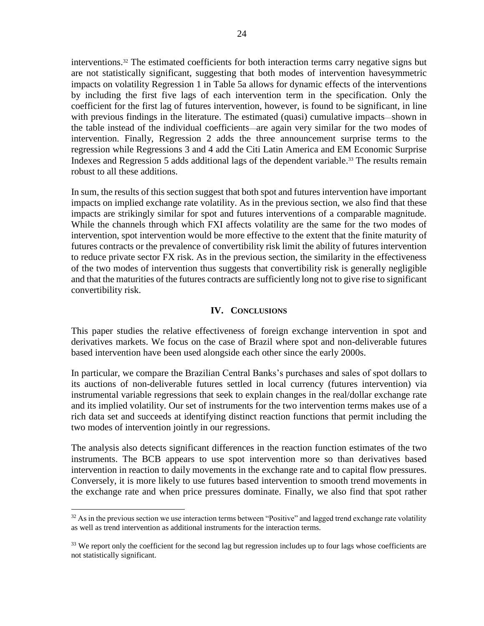interventions. <sup>32</sup> The estimated coefficients for both interaction terms carry negative signs but are not statistically significant, suggesting that both modes of intervention havesymmetric impacts on volatility Regression 1 in Table 5a allows for dynamic effects of the interventions by including the first five lags of each intervention term in the specification. Only the coefficient for the first lag of futures intervention, however, is found to be significant, in line with previous findings in the literature. The estimated (quasi) cumulative impacts—shown in the table instead of the individual coefficients—are again very similar for the two modes of intervention. Finally, Regression 2 adds the three announcement surprise terms to the regression while Regressions 3 and 4 add the Citi Latin America and EM Economic Surprise Indexes and Regression 5 adds additional lags of the dependent variable. <sup>33</sup> The results remain robust to all these additions.

In sum, the results of this section suggest that both spot and futures intervention have important impacts on implied exchange rate volatility. As in the previous section, we also find that these impacts are strikingly similar for spot and futures interventions of a comparable magnitude. While the channels through which FXI affects volatility are the same for the two modes of intervention, spot intervention would be more effective to the extent that the finite maturity of futures contracts or the prevalence of convertibility risk limit the ability of futures intervention to reduce private sector FX risk. As in the previous section, the similarity in the effectiveness of the two modes of intervention thus suggests that convertibility risk is generally negligible and that the maturities of the futures contracts are sufficiently long not to give rise to significant convertibility risk.

## **IV. CONCLUSIONS**

This paper studies the relative effectiveness of foreign exchange intervention in spot and derivatives markets. We focus on the case of Brazil where spot and non-deliverable futures based intervention have been used alongside each other since the early 2000s.

In particular, we compare the Brazilian Central Banks's purchases and sales of spot dollars to its auctions of non-deliverable futures settled in local currency (futures intervention) via instrumental variable regressions that seek to explain changes in the real/dollar exchange rate and its implied volatility. Our set of instruments for the two intervention terms makes use of a rich data set and succeeds at identifying distinct reaction functions that permit including the two modes of intervention jointly in our regressions.

The analysis also detects significant differences in the reaction function estimates of the two instruments. The BCB appears to use spot intervention more so than derivatives based intervention in reaction to daily movements in the exchange rate and to capital flow pressures. Conversely, it is more likely to use futures based intervention to smooth trend movements in the exchange rate and when price pressures dominate. Finally, we also find that spot rather

 $32$  As in the previous section we use interaction terms between "Positive" and lagged trend exchange rate volatility as well as trend intervention as additional instruments for the interaction terms.

<sup>&</sup>lt;sup>33</sup> We report only the coefficient for the second lag but regression includes up to four lags whose coefficients are not statistically significant.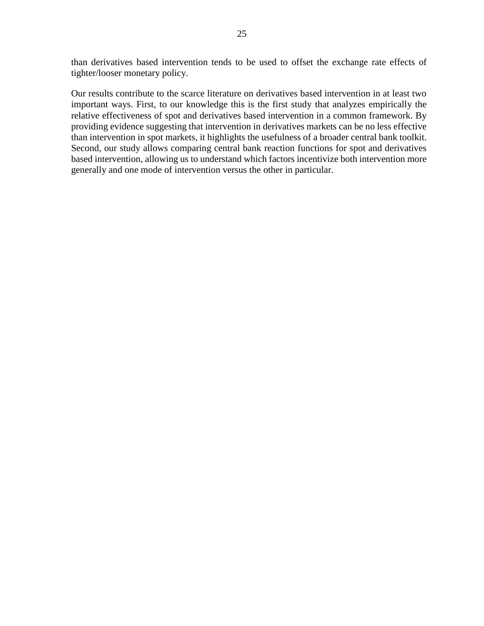than derivatives based intervention tends to be used to offset the exchange rate effects of tighter/looser monetary policy.

Our results contribute to the scarce literature on derivatives based intervention in at least two important ways. First, to our knowledge this is the first study that analyzes empirically the relative effectiveness of spot and derivatives based intervention in a common framework. By providing evidence suggesting that intervention in derivatives markets can be no less effective than intervention in spot markets, it highlights the usefulness of a broader central bank toolkit. Second, our study allows comparing central bank reaction functions for spot and derivatives based intervention, allowing us to understand which factors incentivize both intervention more generally and one mode of intervention versus the other in particular.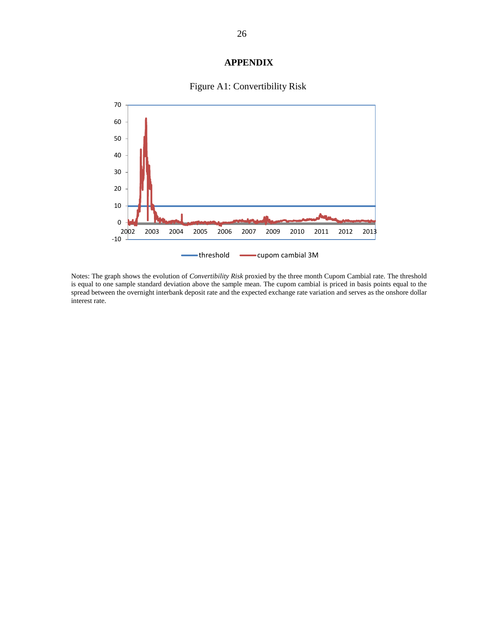# **APPENDIX**



# Figure A1: Convertibility Risk

Notes: The graph shows the evolution of *Convertibility Risk* proxied by the three month Cupom Cambial rate. The threshold is equal to one sample standard deviation above the sample mean. The cupom cambial is priced in basis points equal to the spread between the overnight interbank deposit rate and the expected exchange rate variation and serves as the onshore dollar interest rate.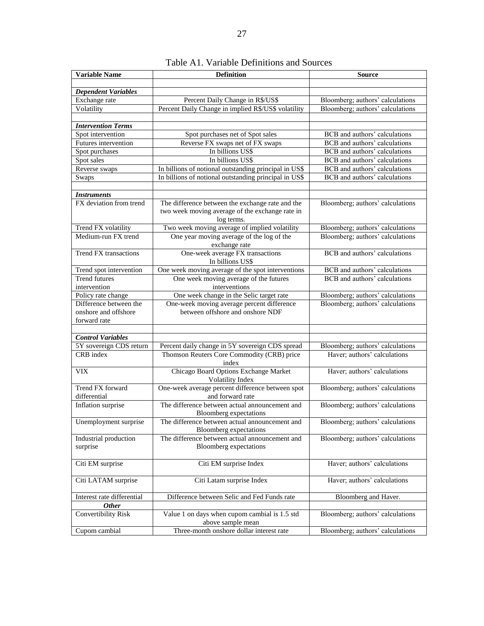| <b>Dependent Variables</b><br>Exchange rate<br>Percent Daily Change in R\$/US\$<br>Bloomberg; authors' calculations<br>Volatility<br>Percent Daily Change in implied R\$/US\$ volatility<br>Bloomberg; authors' calculations<br><b>Intervention Terms</b><br>Spot intervention<br>Spot purchases net of Spot sales<br>BCB and authors' calculations<br>Futures intervention<br>Reverse FX swaps net of FX swaps<br>BCB and authors' calculations<br>In billions US\$<br>Spot purchases<br><b>BCB</b> and authors' calculations<br>Spot sales<br>In billions US\$<br>BCB and authors' calculations<br>Reverse swaps<br>In billions of notional outstanding principal in US\$<br>BCB and authors' calculations<br>In billions of notional outstanding principal in US\$<br><b>BCB</b> and authors' calculations<br>Swaps<br><b>Instruments</b><br>FX deviation from trend<br>The difference between the exchange rate and the<br>Bloomberg; authors' calculations<br>two week moving average of the exchange rate in<br>log terms.<br>Two week moving average of implied volatility<br>Trend FX volatility<br>Bloomberg; authors' calculations<br>Medium-run FX trend<br>One year moving average of the log of the<br>Bloomberg; authors' calculations<br>exchange rate<br>One-week average FX transactions<br>BCB and authors' calculations<br>Trend FX transactions<br>In billions US\$<br>One week moving average of the spot interventions<br>BCB and authors' calculations<br>Trend spot intervention<br><b>Trend futures</b><br>One week moving average of the futures<br><b>BCB</b> and authors' calculations<br>intervention<br>interventions<br>One week change in the Selic target rate<br>Policy rate change<br>Bloomberg; authors' calculations<br>Difference between the<br>One-week moving average percent difference<br>Bloomberg; authors' calculations<br>between offshore and onshore NDF<br>onshore and offshore<br>forward rate<br><b>Control Variables</b><br>5Y sovereign CDS return<br>Percent daily change in 5Y sovereign CDS spread<br>Bloomberg; authors' calculations<br>CRB index<br>Haver; authors' calculations<br>Thomson Reuters Core Commodity (CRB) price<br>index<br>Chicago Board Options Exchange Market<br>Haver, authors' calculations<br><b>VIX</b><br>Volatility Index<br>One-week average percent difference between spot<br>Trend FX forward<br>Bloomberg; authors' calculations<br>differential<br>and forward rate<br>The difference between actual announcement and<br>Inflation surprise<br>Bloomberg; authors' calculations<br>Bloomberg expectations<br>The difference between actual announcement and<br>Bloomberg; authors' calculations<br>Unemployment surprise<br><b>Bloomberg</b> expectations<br>The difference between actual announcement and<br>Bloomberg; authors' calculations<br>Industrial production<br>surprise<br>Bloomberg expectations<br>Haver; authors' calculations<br>Citi EM surprise<br>Citi EM surprise Index<br>Citi Latam surprise Index<br>Haver; authors' calculations<br>Citi LATAM surprise | <b>Variable Name</b>       | <b>Definition</b>                           | <b>Source</b>        |
|-----------------------------------------------------------------------------------------------------------------------------------------------------------------------------------------------------------------------------------------------------------------------------------------------------------------------------------------------------------------------------------------------------------------------------------------------------------------------------------------------------------------------------------------------------------------------------------------------------------------------------------------------------------------------------------------------------------------------------------------------------------------------------------------------------------------------------------------------------------------------------------------------------------------------------------------------------------------------------------------------------------------------------------------------------------------------------------------------------------------------------------------------------------------------------------------------------------------------------------------------------------------------------------------------------------------------------------------------------------------------------------------------------------------------------------------------------------------------------------------------------------------------------------------------------------------------------------------------------------------------------------------------------------------------------------------------------------------------------------------------------------------------------------------------------------------------------------------------------------------------------------------------------------------------------------------------------------------------------------------------------------------------------------------------------------------------------------------------------------------------------------------------------------------------------------------------------------------------------------------------------------------------------------------------------------------------------------------------------------------------------------------------------------------------------------------------------------------------------------------------------------------------------------------------------------------------------------------------------------------------------------------------------------------------------------------------------------------------------------------------------------------------------------------------------------------------------------------------------------------------------------------------------------------------------------------------------------------------------------------------------------------------------------------------------------------------------|----------------------------|---------------------------------------------|----------------------|
|                                                                                                                                                                                                                                                                                                                                                                                                                                                                                                                                                                                                                                                                                                                                                                                                                                                                                                                                                                                                                                                                                                                                                                                                                                                                                                                                                                                                                                                                                                                                                                                                                                                                                                                                                                                                                                                                                                                                                                                                                                                                                                                                                                                                                                                                                                                                                                                                                                                                                                                                                                                                                                                                                                                                                                                                                                                                                                                                                                                                                                                                             |                            |                                             |                      |
|                                                                                                                                                                                                                                                                                                                                                                                                                                                                                                                                                                                                                                                                                                                                                                                                                                                                                                                                                                                                                                                                                                                                                                                                                                                                                                                                                                                                                                                                                                                                                                                                                                                                                                                                                                                                                                                                                                                                                                                                                                                                                                                                                                                                                                                                                                                                                                                                                                                                                                                                                                                                                                                                                                                                                                                                                                                                                                                                                                                                                                                                             |                            |                                             |                      |
|                                                                                                                                                                                                                                                                                                                                                                                                                                                                                                                                                                                                                                                                                                                                                                                                                                                                                                                                                                                                                                                                                                                                                                                                                                                                                                                                                                                                                                                                                                                                                                                                                                                                                                                                                                                                                                                                                                                                                                                                                                                                                                                                                                                                                                                                                                                                                                                                                                                                                                                                                                                                                                                                                                                                                                                                                                                                                                                                                                                                                                                                             |                            |                                             |                      |
|                                                                                                                                                                                                                                                                                                                                                                                                                                                                                                                                                                                                                                                                                                                                                                                                                                                                                                                                                                                                                                                                                                                                                                                                                                                                                                                                                                                                                                                                                                                                                                                                                                                                                                                                                                                                                                                                                                                                                                                                                                                                                                                                                                                                                                                                                                                                                                                                                                                                                                                                                                                                                                                                                                                                                                                                                                                                                                                                                                                                                                                                             |                            |                                             |                      |
|                                                                                                                                                                                                                                                                                                                                                                                                                                                                                                                                                                                                                                                                                                                                                                                                                                                                                                                                                                                                                                                                                                                                                                                                                                                                                                                                                                                                                                                                                                                                                                                                                                                                                                                                                                                                                                                                                                                                                                                                                                                                                                                                                                                                                                                                                                                                                                                                                                                                                                                                                                                                                                                                                                                                                                                                                                                                                                                                                                                                                                                                             |                            |                                             |                      |
|                                                                                                                                                                                                                                                                                                                                                                                                                                                                                                                                                                                                                                                                                                                                                                                                                                                                                                                                                                                                                                                                                                                                                                                                                                                                                                                                                                                                                                                                                                                                                                                                                                                                                                                                                                                                                                                                                                                                                                                                                                                                                                                                                                                                                                                                                                                                                                                                                                                                                                                                                                                                                                                                                                                                                                                                                                                                                                                                                                                                                                                                             |                            |                                             |                      |
|                                                                                                                                                                                                                                                                                                                                                                                                                                                                                                                                                                                                                                                                                                                                                                                                                                                                                                                                                                                                                                                                                                                                                                                                                                                                                                                                                                                                                                                                                                                                                                                                                                                                                                                                                                                                                                                                                                                                                                                                                                                                                                                                                                                                                                                                                                                                                                                                                                                                                                                                                                                                                                                                                                                                                                                                                                                                                                                                                                                                                                                                             |                            |                                             |                      |
|                                                                                                                                                                                                                                                                                                                                                                                                                                                                                                                                                                                                                                                                                                                                                                                                                                                                                                                                                                                                                                                                                                                                                                                                                                                                                                                                                                                                                                                                                                                                                                                                                                                                                                                                                                                                                                                                                                                                                                                                                                                                                                                                                                                                                                                                                                                                                                                                                                                                                                                                                                                                                                                                                                                                                                                                                                                                                                                                                                                                                                                                             |                            |                                             |                      |
|                                                                                                                                                                                                                                                                                                                                                                                                                                                                                                                                                                                                                                                                                                                                                                                                                                                                                                                                                                                                                                                                                                                                                                                                                                                                                                                                                                                                                                                                                                                                                                                                                                                                                                                                                                                                                                                                                                                                                                                                                                                                                                                                                                                                                                                                                                                                                                                                                                                                                                                                                                                                                                                                                                                                                                                                                                                                                                                                                                                                                                                                             |                            |                                             |                      |
|                                                                                                                                                                                                                                                                                                                                                                                                                                                                                                                                                                                                                                                                                                                                                                                                                                                                                                                                                                                                                                                                                                                                                                                                                                                                                                                                                                                                                                                                                                                                                                                                                                                                                                                                                                                                                                                                                                                                                                                                                                                                                                                                                                                                                                                                                                                                                                                                                                                                                                                                                                                                                                                                                                                                                                                                                                                                                                                                                                                                                                                                             |                            |                                             |                      |
|                                                                                                                                                                                                                                                                                                                                                                                                                                                                                                                                                                                                                                                                                                                                                                                                                                                                                                                                                                                                                                                                                                                                                                                                                                                                                                                                                                                                                                                                                                                                                                                                                                                                                                                                                                                                                                                                                                                                                                                                                                                                                                                                                                                                                                                                                                                                                                                                                                                                                                                                                                                                                                                                                                                                                                                                                                                                                                                                                                                                                                                                             |                            |                                             |                      |
|                                                                                                                                                                                                                                                                                                                                                                                                                                                                                                                                                                                                                                                                                                                                                                                                                                                                                                                                                                                                                                                                                                                                                                                                                                                                                                                                                                                                                                                                                                                                                                                                                                                                                                                                                                                                                                                                                                                                                                                                                                                                                                                                                                                                                                                                                                                                                                                                                                                                                                                                                                                                                                                                                                                                                                                                                                                                                                                                                                                                                                                                             |                            |                                             |                      |
|                                                                                                                                                                                                                                                                                                                                                                                                                                                                                                                                                                                                                                                                                                                                                                                                                                                                                                                                                                                                                                                                                                                                                                                                                                                                                                                                                                                                                                                                                                                                                                                                                                                                                                                                                                                                                                                                                                                                                                                                                                                                                                                                                                                                                                                                                                                                                                                                                                                                                                                                                                                                                                                                                                                                                                                                                                                                                                                                                                                                                                                                             |                            |                                             |                      |
|                                                                                                                                                                                                                                                                                                                                                                                                                                                                                                                                                                                                                                                                                                                                                                                                                                                                                                                                                                                                                                                                                                                                                                                                                                                                                                                                                                                                                                                                                                                                                                                                                                                                                                                                                                                                                                                                                                                                                                                                                                                                                                                                                                                                                                                                                                                                                                                                                                                                                                                                                                                                                                                                                                                                                                                                                                                                                                                                                                                                                                                                             |                            |                                             |                      |
|                                                                                                                                                                                                                                                                                                                                                                                                                                                                                                                                                                                                                                                                                                                                                                                                                                                                                                                                                                                                                                                                                                                                                                                                                                                                                                                                                                                                                                                                                                                                                                                                                                                                                                                                                                                                                                                                                                                                                                                                                                                                                                                                                                                                                                                                                                                                                                                                                                                                                                                                                                                                                                                                                                                                                                                                                                                                                                                                                                                                                                                                             |                            |                                             |                      |
|                                                                                                                                                                                                                                                                                                                                                                                                                                                                                                                                                                                                                                                                                                                                                                                                                                                                                                                                                                                                                                                                                                                                                                                                                                                                                                                                                                                                                                                                                                                                                                                                                                                                                                                                                                                                                                                                                                                                                                                                                                                                                                                                                                                                                                                                                                                                                                                                                                                                                                                                                                                                                                                                                                                                                                                                                                                                                                                                                                                                                                                                             |                            |                                             |                      |
|                                                                                                                                                                                                                                                                                                                                                                                                                                                                                                                                                                                                                                                                                                                                                                                                                                                                                                                                                                                                                                                                                                                                                                                                                                                                                                                                                                                                                                                                                                                                                                                                                                                                                                                                                                                                                                                                                                                                                                                                                                                                                                                                                                                                                                                                                                                                                                                                                                                                                                                                                                                                                                                                                                                                                                                                                                                                                                                                                                                                                                                                             |                            |                                             |                      |
|                                                                                                                                                                                                                                                                                                                                                                                                                                                                                                                                                                                                                                                                                                                                                                                                                                                                                                                                                                                                                                                                                                                                                                                                                                                                                                                                                                                                                                                                                                                                                                                                                                                                                                                                                                                                                                                                                                                                                                                                                                                                                                                                                                                                                                                                                                                                                                                                                                                                                                                                                                                                                                                                                                                                                                                                                                                                                                                                                                                                                                                                             |                            |                                             |                      |
|                                                                                                                                                                                                                                                                                                                                                                                                                                                                                                                                                                                                                                                                                                                                                                                                                                                                                                                                                                                                                                                                                                                                                                                                                                                                                                                                                                                                                                                                                                                                                                                                                                                                                                                                                                                                                                                                                                                                                                                                                                                                                                                                                                                                                                                                                                                                                                                                                                                                                                                                                                                                                                                                                                                                                                                                                                                                                                                                                                                                                                                                             |                            |                                             |                      |
|                                                                                                                                                                                                                                                                                                                                                                                                                                                                                                                                                                                                                                                                                                                                                                                                                                                                                                                                                                                                                                                                                                                                                                                                                                                                                                                                                                                                                                                                                                                                                                                                                                                                                                                                                                                                                                                                                                                                                                                                                                                                                                                                                                                                                                                                                                                                                                                                                                                                                                                                                                                                                                                                                                                                                                                                                                                                                                                                                                                                                                                                             |                            |                                             |                      |
|                                                                                                                                                                                                                                                                                                                                                                                                                                                                                                                                                                                                                                                                                                                                                                                                                                                                                                                                                                                                                                                                                                                                                                                                                                                                                                                                                                                                                                                                                                                                                                                                                                                                                                                                                                                                                                                                                                                                                                                                                                                                                                                                                                                                                                                                                                                                                                                                                                                                                                                                                                                                                                                                                                                                                                                                                                                                                                                                                                                                                                                                             |                            |                                             |                      |
|                                                                                                                                                                                                                                                                                                                                                                                                                                                                                                                                                                                                                                                                                                                                                                                                                                                                                                                                                                                                                                                                                                                                                                                                                                                                                                                                                                                                                                                                                                                                                                                                                                                                                                                                                                                                                                                                                                                                                                                                                                                                                                                                                                                                                                                                                                                                                                                                                                                                                                                                                                                                                                                                                                                                                                                                                                                                                                                                                                                                                                                                             |                            |                                             |                      |
|                                                                                                                                                                                                                                                                                                                                                                                                                                                                                                                                                                                                                                                                                                                                                                                                                                                                                                                                                                                                                                                                                                                                                                                                                                                                                                                                                                                                                                                                                                                                                                                                                                                                                                                                                                                                                                                                                                                                                                                                                                                                                                                                                                                                                                                                                                                                                                                                                                                                                                                                                                                                                                                                                                                                                                                                                                                                                                                                                                                                                                                                             |                            |                                             |                      |
|                                                                                                                                                                                                                                                                                                                                                                                                                                                                                                                                                                                                                                                                                                                                                                                                                                                                                                                                                                                                                                                                                                                                                                                                                                                                                                                                                                                                                                                                                                                                                                                                                                                                                                                                                                                                                                                                                                                                                                                                                                                                                                                                                                                                                                                                                                                                                                                                                                                                                                                                                                                                                                                                                                                                                                                                                                                                                                                                                                                                                                                                             |                            |                                             |                      |
|                                                                                                                                                                                                                                                                                                                                                                                                                                                                                                                                                                                                                                                                                                                                                                                                                                                                                                                                                                                                                                                                                                                                                                                                                                                                                                                                                                                                                                                                                                                                                                                                                                                                                                                                                                                                                                                                                                                                                                                                                                                                                                                                                                                                                                                                                                                                                                                                                                                                                                                                                                                                                                                                                                                                                                                                                                                                                                                                                                                                                                                                             |                            |                                             |                      |
|                                                                                                                                                                                                                                                                                                                                                                                                                                                                                                                                                                                                                                                                                                                                                                                                                                                                                                                                                                                                                                                                                                                                                                                                                                                                                                                                                                                                                                                                                                                                                                                                                                                                                                                                                                                                                                                                                                                                                                                                                                                                                                                                                                                                                                                                                                                                                                                                                                                                                                                                                                                                                                                                                                                                                                                                                                                                                                                                                                                                                                                                             |                            |                                             |                      |
|                                                                                                                                                                                                                                                                                                                                                                                                                                                                                                                                                                                                                                                                                                                                                                                                                                                                                                                                                                                                                                                                                                                                                                                                                                                                                                                                                                                                                                                                                                                                                                                                                                                                                                                                                                                                                                                                                                                                                                                                                                                                                                                                                                                                                                                                                                                                                                                                                                                                                                                                                                                                                                                                                                                                                                                                                                                                                                                                                                                                                                                                             |                            |                                             |                      |
|                                                                                                                                                                                                                                                                                                                                                                                                                                                                                                                                                                                                                                                                                                                                                                                                                                                                                                                                                                                                                                                                                                                                                                                                                                                                                                                                                                                                                                                                                                                                                                                                                                                                                                                                                                                                                                                                                                                                                                                                                                                                                                                                                                                                                                                                                                                                                                                                                                                                                                                                                                                                                                                                                                                                                                                                                                                                                                                                                                                                                                                                             |                            |                                             |                      |
|                                                                                                                                                                                                                                                                                                                                                                                                                                                                                                                                                                                                                                                                                                                                                                                                                                                                                                                                                                                                                                                                                                                                                                                                                                                                                                                                                                                                                                                                                                                                                                                                                                                                                                                                                                                                                                                                                                                                                                                                                                                                                                                                                                                                                                                                                                                                                                                                                                                                                                                                                                                                                                                                                                                                                                                                                                                                                                                                                                                                                                                                             |                            |                                             |                      |
|                                                                                                                                                                                                                                                                                                                                                                                                                                                                                                                                                                                                                                                                                                                                                                                                                                                                                                                                                                                                                                                                                                                                                                                                                                                                                                                                                                                                                                                                                                                                                                                                                                                                                                                                                                                                                                                                                                                                                                                                                                                                                                                                                                                                                                                                                                                                                                                                                                                                                                                                                                                                                                                                                                                                                                                                                                                                                                                                                                                                                                                                             |                            |                                             |                      |
|                                                                                                                                                                                                                                                                                                                                                                                                                                                                                                                                                                                                                                                                                                                                                                                                                                                                                                                                                                                                                                                                                                                                                                                                                                                                                                                                                                                                                                                                                                                                                                                                                                                                                                                                                                                                                                                                                                                                                                                                                                                                                                                                                                                                                                                                                                                                                                                                                                                                                                                                                                                                                                                                                                                                                                                                                                                                                                                                                                                                                                                                             |                            |                                             |                      |
|                                                                                                                                                                                                                                                                                                                                                                                                                                                                                                                                                                                                                                                                                                                                                                                                                                                                                                                                                                                                                                                                                                                                                                                                                                                                                                                                                                                                                                                                                                                                                                                                                                                                                                                                                                                                                                                                                                                                                                                                                                                                                                                                                                                                                                                                                                                                                                                                                                                                                                                                                                                                                                                                                                                                                                                                                                                                                                                                                                                                                                                                             |                            |                                             |                      |
|                                                                                                                                                                                                                                                                                                                                                                                                                                                                                                                                                                                                                                                                                                                                                                                                                                                                                                                                                                                                                                                                                                                                                                                                                                                                                                                                                                                                                                                                                                                                                                                                                                                                                                                                                                                                                                                                                                                                                                                                                                                                                                                                                                                                                                                                                                                                                                                                                                                                                                                                                                                                                                                                                                                                                                                                                                                                                                                                                                                                                                                                             |                            |                                             |                      |
|                                                                                                                                                                                                                                                                                                                                                                                                                                                                                                                                                                                                                                                                                                                                                                                                                                                                                                                                                                                                                                                                                                                                                                                                                                                                                                                                                                                                                                                                                                                                                                                                                                                                                                                                                                                                                                                                                                                                                                                                                                                                                                                                                                                                                                                                                                                                                                                                                                                                                                                                                                                                                                                                                                                                                                                                                                                                                                                                                                                                                                                                             |                            |                                             |                      |
|                                                                                                                                                                                                                                                                                                                                                                                                                                                                                                                                                                                                                                                                                                                                                                                                                                                                                                                                                                                                                                                                                                                                                                                                                                                                                                                                                                                                                                                                                                                                                                                                                                                                                                                                                                                                                                                                                                                                                                                                                                                                                                                                                                                                                                                                                                                                                                                                                                                                                                                                                                                                                                                                                                                                                                                                                                                                                                                                                                                                                                                                             |                            |                                             |                      |
|                                                                                                                                                                                                                                                                                                                                                                                                                                                                                                                                                                                                                                                                                                                                                                                                                                                                                                                                                                                                                                                                                                                                                                                                                                                                                                                                                                                                                                                                                                                                                                                                                                                                                                                                                                                                                                                                                                                                                                                                                                                                                                                                                                                                                                                                                                                                                                                                                                                                                                                                                                                                                                                                                                                                                                                                                                                                                                                                                                                                                                                                             |                            |                                             |                      |
|                                                                                                                                                                                                                                                                                                                                                                                                                                                                                                                                                                                                                                                                                                                                                                                                                                                                                                                                                                                                                                                                                                                                                                                                                                                                                                                                                                                                                                                                                                                                                                                                                                                                                                                                                                                                                                                                                                                                                                                                                                                                                                                                                                                                                                                                                                                                                                                                                                                                                                                                                                                                                                                                                                                                                                                                                                                                                                                                                                                                                                                                             |                            |                                             |                      |
|                                                                                                                                                                                                                                                                                                                                                                                                                                                                                                                                                                                                                                                                                                                                                                                                                                                                                                                                                                                                                                                                                                                                                                                                                                                                                                                                                                                                                                                                                                                                                                                                                                                                                                                                                                                                                                                                                                                                                                                                                                                                                                                                                                                                                                                                                                                                                                                                                                                                                                                                                                                                                                                                                                                                                                                                                                                                                                                                                                                                                                                                             |                            |                                             |                      |
|                                                                                                                                                                                                                                                                                                                                                                                                                                                                                                                                                                                                                                                                                                                                                                                                                                                                                                                                                                                                                                                                                                                                                                                                                                                                                                                                                                                                                                                                                                                                                                                                                                                                                                                                                                                                                                                                                                                                                                                                                                                                                                                                                                                                                                                                                                                                                                                                                                                                                                                                                                                                                                                                                                                                                                                                                                                                                                                                                                                                                                                                             |                            |                                             |                      |
|                                                                                                                                                                                                                                                                                                                                                                                                                                                                                                                                                                                                                                                                                                                                                                                                                                                                                                                                                                                                                                                                                                                                                                                                                                                                                                                                                                                                                                                                                                                                                                                                                                                                                                                                                                                                                                                                                                                                                                                                                                                                                                                                                                                                                                                                                                                                                                                                                                                                                                                                                                                                                                                                                                                                                                                                                                                                                                                                                                                                                                                                             |                            |                                             |                      |
|                                                                                                                                                                                                                                                                                                                                                                                                                                                                                                                                                                                                                                                                                                                                                                                                                                                                                                                                                                                                                                                                                                                                                                                                                                                                                                                                                                                                                                                                                                                                                                                                                                                                                                                                                                                                                                                                                                                                                                                                                                                                                                                                                                                                                                                                                                                                                                                                                                                                                                                                                                                                                                                                                                                                                                                                                                                                                                                                                                                                                                                                             |                            |                                             |                      |
|                                                                                                                                                                                                                                                                                                                                                                                                                                                                                                                                                                                                                                                                                                                                                                                                                                                                                                                                                                                                                                                                                                                                                                                                                                                                                                                                                                                                                                                                                                                                                                                                                                                                                                                                                                                                                                                                                                                                                                                                                                                                                                                                                                                                                                                                                                                                                                                                                                                                                                                                                                                                                                                                                                                                                                                                                                                                                                                                                                                                                                                                             | Interest rate differential | Difference between Selic and Fed Funds rate | Bloomberg and Haver. |
| <b>Other</b>                                                                                                                                                                                                                                                                                                                                                                                                                                                                                                                                                                                                                                                                                                                                                                                                                                                                                                                                                                                                                                                                                                                                                                                                                                                                                                                                                                                                                                                                                                                                                                                                                                                                                                                                                                                                                                                                                                                                                                                                                                                                                                                                                                                                                                                                                                                                                                                                                                                                                                                                                                                                                                                                                                                                                                                                                                                                                                                                                                                                                                                                |                            |                                             |                      |
| <b>Convertibility Risk</b><br>Value 1 on days when cupom cambial is 1.5 std<br>Bloomberg; authors' calculations<br>above sample mean                                                                                                                                                                                                                                                                                                                                                                                                                                                                                                                                                                                                                                                                                                                                                                                                                                                                                                                                                                                                                                                                                                                                                                                                                                                                                                                                                                                                                                                                                                                                                                                                                                                                                                                                                                                                                                                                                                                                                                                                                                                                                                                                                                                                                                                                                                                                                                                                                                                                                                                                                                                                                                                                                                                                                                                                                                                                                                                                        |                            |                                             |                      |
| Bloomberg; authors' calculations<br>Cupom cambial<br>Three-month onshore dollar interest rate                                                                                                                                                                                                                                                                                                                                                                                                                                                                                                                                                                                                                                                                                                                                                                                                                                                                                                                                                                                                                                                                                                                                                                                                                                                                                                                                                                                                                                                                                                                                                                                                                                                                                                                                                                                                                                                                                                                                                                                                                                                                                                                                                                                                                                                                                                                                                                                                                                                                                                                                                                                                                                                                                                                                                                                                                                                                                                                                                                               |                            |                                             |                      |

Table A1. Variable Definitions and Sources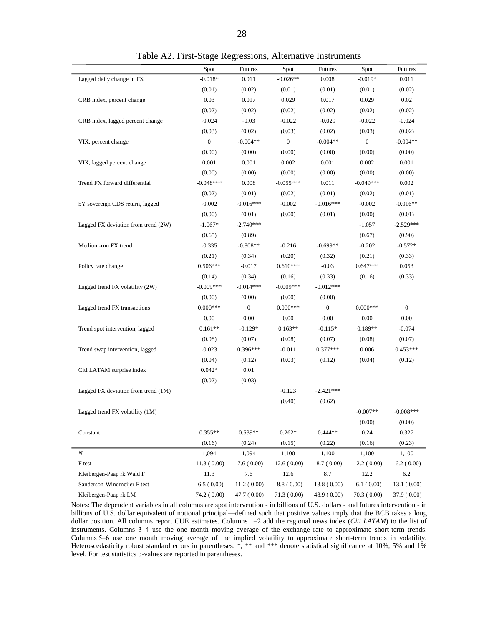|                                     | Spot             | <b>Futures</b>   | Spot             | Futures      | Spot             | <b>Futures</b> |
|-------------------------------------|------------------|------------------|------------------|--------------|------------------|----------------|
| Lagged daily change in FX           | $-0.018*$        | 0.011            | $-0.026**$       | 0.008        | $-0.019*$        | 0.011          |
|                                     | (0.01)           | (0.02)           | (0.01)           | (0.01)       | (0.01)           | (0.02)         |
| CRB index, percent change           | 0.03             | 0.017            | 0.029            | 0.017        | 0.029            | 0.02           |
|                                     | (0.02)           | (0.02)           | (0.02)           | (0.02)       | (0.02)           | (0.02)         |
| CRB index, lagged percent change    | $-0.024$         | $-0.03$          | $-0.022$         | $-0.029$     | $-0.022$         | $-0.024$       |
|                                     | (0.03)           | (0.02)           | (0.03)           | (0.02)       | (0.03)           | (0.02)         |
| VIX, percent change                 | $\boldsymbol{0}$ | $-0.004**$       | $\boldsymbol{0}$ | $-0.004**$   | $\boldsymbol{0}$ | $-0.004**$     |
|                                     | (0.00)           | (0.00)           | (0.00)           | (0.00)       | (0.00)           | (0.00)         |
| VIX, lagged percent change          | 0.001            | 0.001            | 0.002            | 0.001        | 0.002            | 0.001          |
|                                     | (0.00)           | (0.00)           | (0.00)           | (0.00)       | (0.00)           | (0.00)         |
| Trend FX forward differential       | $-0.048***$      | 0.008            | $-0.055***$      | 0.011        | $-0.049***$      | 0.002          |
|                                     | (0.02)           | (0.01)           | (0.02)           | (0.01)       | (0.02)           | (0.01)         |
| 5Y sovereign CDS return, lagged     | $-0.002$         | $-0.016***$      | $-0.002$         | $-0.016***$  | $-0.002$         | $-0.016**$     |
|                                     | (0.00)           | (0.01)           | (0.00)           | (0.01)       | (0.00)           | (0.01)         |
| Lagged FX deviation from trend (2W) | $-1.067*$        | $-2.740***$      |                  |              | $-1.057$         | $-2.529***$    |
|                                     | (0.65)           | (0.89)           |                  |              | (0.67)           | (0.90)         |
| Medium-run FX trend                 | $-0.335$         | $-0.808**$       | $-0.216$         | $-0.699**$   | $-0.202$         | $-0.572*$      |
|                                     | (0.21)           | (0.34)           | (0.20)           | (0.32)       | (0.21)           | (0.33)         |
| Policy rate change                  | $0.506***$       | $-0.017$         | $0.610***$       | $-0.03$      | $0.647***$       | 0.053          |
|                                     | (0.14)           | (0.34)           | (0.16)           | (0.33)       | (0.16)           | (0.33)         |
| Lagged trend FX volatility (2W)     | $-0.009***$      | $-0.014***$      | $-0.009***$      | $-0.012***$  |                  |                |
|                                     | (0.00)           | (0.00)           | (0.00)           | (0.00)       |                  |                |
| Lagged trend FX transactions        | $0.000***$       | $\boldsymbol{0}$ | $0.000***$       | $\mathbf{0}$ | $0.000***$       | $\mathbf{0}$   |
|                                     | 0.00             | 0.00             | 0.00             | 0.00         | 0.00             | 0.00           |
| Trend spot intervention, lagged     | $0.161**$        | $-0.129*$        | $0.163**$        | $-0.115*$    | $0.189**$        | $-0.074$       |
|                                     | (0.08)           | (0.07)           | (0.08)           | (0.07)       | (0.08)           | (0.07)         |
| Trend swap intervention, lagged     | $-0.023$         | $0.396***$       | $-0.011$         | $0.377***$   | 0.006            | $0.453***$     |
|                                     | (0.04)           | (0.12)           | (0.03)           | (0.12)       | (0.04)           | (0.12)         |
| Citi LATAM surprise index           | $0.042*$         | 0.01             |                  |              |                  |                |
|                                     | (0.02)           | (0.03)           |                  |              |                  |                |
| Lagged FX deviation from trend (1M) |                  |                  | $-0.123$         | $-2.421***$  |                  |                |
|                                     |                  |                  | (0.40)           | (0.62)       |                  |                |
| Lagged trend FX volatility (1M)     |                  |                  |                  |              | $-0.007**$       | $-0.008***$    |
|                                     |                  |                  |                  |              | (0.00)           | (0.00)         |
| Constant                            | $0.355**$        | $0.539**$        | $0.262*$         | $0.444**$    | 0.24             | 0.327          |
|                                     | (0.16)           | (0.24)           | (0.15)           | (0.22)       | (0.16)           | (0.23)         |
| N                                   | 1,094            | 1,094            | 1,100            | 1,100        | 1,100            | 1,100          |
| F test                              | 11.3(0.00)       | 7.6(0.00)        | 12.6(0.00)       | 8.7(0.00)    | 12.2(0.00)       | 6.2(0.00)      |
| Kleibergen-Paap rk Wald F           | 11.3             | 7.6              | 12.6             | 8.7          | 12.2             | 6.2            |
| Sanderson-Windmeijer F test         | 6.5(0.00)        | 11.2(0.00)       | 8.8(0.00)        | 13.8(0.00)   | 6.1(0.00)        | 13.1(0.00)     |
| Kleibergen-Paap rk LM               | 74.2 (0.00)      | 47.7 (0.00)      | 71.3(0.00)       | 48.9 (0.00)  | 70.3 (0.00)      | 37.9 (0.00)    |

Table A2. First-Stage Regressions, Alternative Instruments

Notes: The dependent variables in all columns are spot intervention - in billions of U.S. dollars - and futures intervention - in billions of U.S. dollar equivalent of notional principal—defined such that positive values imply that the BCB takes a long dollar position. All columns report CUE estimates. Columns 1-2 add the regional news index (*Citi LATAM*) to the list of instruments. Columns 3-4 use the one month moving average of the exchange rate to approximate short-term trends. Columns 5–6 use one month moving average of the implied volatility to approximate short-term trends in volatility. Heteroscedasticity robust standard errors in parentheses.  $\ast$ ,  $\ast\ast$  and  $\ast\ast\ast$  denote statistical significance at 10%, 5% and 1% level. For test statistics p-values are reported in parentheses.

 $\overline{a}$  $\overline{a}$ 

L,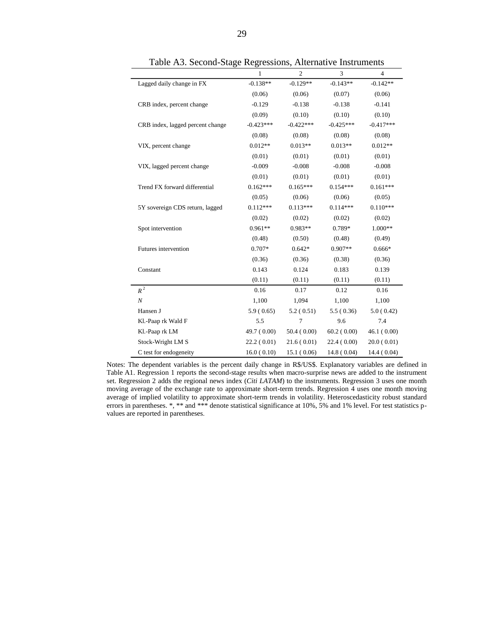|                                  | 1           | $\overline{c}$ | 3           | $\overline{4}$ |
|----------------------------------|-------------|----------------|-------------|----------------|
| Lagged daily change in FX        | $-0.138**$  | $-0.129**$     | $-0.143**$  | $-0.142**$     |
|                                  | (0.06)      | (0.06)         | (0.07)      | (0.06)         |
| CRB index, percent change        | $-0.129$    | $-0.138$       | $-0.138$    | $-0.141$       |
|                                  | (0.09)      | (0.10)         | (0.10)      | (0.10)         |
| CRB index, lagged percent change | $-0.423***$ | $-0.422***$    | $-0.425***$ | $-0.417***$    |
|                                  | (0.08)      | (0.08)         | (0.08)      | (0.08)         |
| VIX, percent change              | $0.012**$   | $0.013**$      | $0.013**$   | $0.012**$      |
|                                  | (0.01)      | (0.01)         | (0.01)      | (0.01)         |
| VIX, lagged percent change       | $-0.009$    | $-0.008$       | $-0.008$    | $-0.008$       |
|                                  | (0.01)      | (0.01)         | (0.01)      | (0.01)         |
| Trend FX forward differential    | $0.162***$  | $0.165***$     | $0.154***$  | $0.161***$     |
|                                  | (0.05)      | (0.06)         | (0.06)      | (0.05)         |
| 5Y sovereign CDS return, lagged  | $0.112***$  | $0.113***$     | $0.114***$  | $0.110***$     |
|                                  | (0.02)      | (0.02)         | (0.02)      | (0.02)         |
| Spot intervention                | $0.961**$   | 0.983**        | 0.789*      | 1.000**        |
|                                  | (0.48)      | (0.50)         | (0.48)      | (0.49)         |
| Futures intervention             | 0.707*      | $0.642*$       | $0.907**$   | $0.666*$       |
|                                  | (0.36)      | (0.36)         | (0.38)      | (0.36)         |
| Constant                         | 0.143       | 0.124          | 0.183       | 0.139          |
|                                  | (0.11)      | (0.11)         | (0.11)      | (0.11)         |
| $R^2$                            | 0.16        | 0.17           | 0.12        | 0.16           |
| $\boldsymbol{N}$                 | 1,100       | 1,094          | 1,100       | 1,100          |
| Hansen J                         | 5.9(0.65)   | 5.2(0.51)      | 5.5(0.36)   | 5.0(0.42)      |
| Kl.-Paap rk Wald F               | 5.5         | $\overline{7}$ | 9.6         | 7.4            |
| Kl.-Paap rk LM                   | 49.7 (0.00) | 50.4(0.00)     | 60.2(0.00)  | 46.1(0.00)     |
| Stock-Wright LM S                | 22.2(0.01)  | 21.6(0.01)     | 22.4(0.00)  | 20.0(0.01)     |
| C test for endogeneity           | 16.0(0.10)  | 15.1(0.06)     | 14.8(0.04)  | 14.4 (0.04)    |

Table A3. Second-Stage Regressions, Alternative Instruments

Notes: The dependent variables is the percent daily change in R\$/US\$. Explanatory variables are defined in Table A1. Regression 1 reports the second-stage results when macro-surprise news are added to the instrument set. Regression 2 adds the regional news index (*Citi LATAM*) to the instruments. Regression 3 uses one month moving average of the exchange rate to approximate short-term trends. Regression 4 uses one month moving average of implied volatility to approximate short-term trends in volatility. Heteroscedasticity robust standard errors in parentheses. \*, \*\* and \*\*\* denote statistical significance at 10%, 5% and 1% level. For test statistics pvalues are reported in parentheses.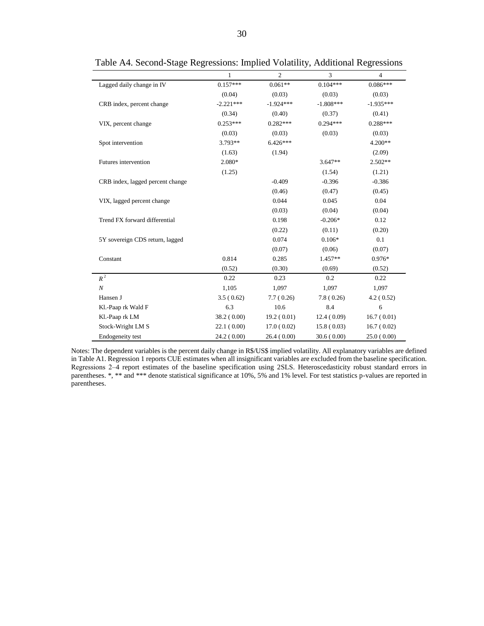|                                  | 1           | $\overline{c}$ | 3           | $\overline{4}$ |
|----------------------------------|-------------|----------------|-------------|----------------|
| Lagged daily change in IV        | $0.157***$  | $0.061**$      | $0.104***$  | $0.086***$     |
|                                  | (0.04)      | (0.03)         | (0.03)      | (0.03)         |
| CRB index, percent change        | $-2.221***$ | $-1.924***$    | $-1.808***$ | $-1.935***$    |
|                                  | (0.34)      | (0.40)         | (0.37)      | (0.41)         |
| VIX, percent change              | $0.253***$  | $0.282***$     | $0.294***$  | $0.288***$     |
|                                  | (0.03)      | (0.03)         | (0.03)      | (0.03)         |
| Spot intervention                | $3.793**$   | $6.426***$     |             | $4.200**$      |
|                                  | (1.63)      | (1.94)         |             | (2.09)         |
| Futures intervention             | 2.080*      |                | $3.647**$   | $2.502**$      |
|                                  | (1.25)      |                | (1.54)      | (1.21)         |
| CRB index, lagged percent change |             | $-0.409$       | $-0.396$    | $-0.386$       |
|                                  |             | (0.46)         | (0.47)      | (0.45)         |
| VIX, lagged percent change       |             | 0.044          | 0.045       | 0.04           |
|                                  |             | (0.03)         | (0.04)      | (0.04)         |
| Trend FX forward differential    |             | 0.198          | $-0.206*$   | 0.12           |
|                                  |             | (0.22)         | (0.11)      | (0.20)         |
| 5Y sovereign CDS return, lagged  |             | 0.074          | $0.106*$    | 0.1            |
|                                  |             | (0.07)         | (0.06)      | (0.07)         |
| Constant                         | 0.814       | 0.285          | $1.457**$   | 0.976*         |
|                                  | (0.52)      | (0.30)         | (0.69)      | (0.52)         |
| $R^2$                            | 0.22        | 0.23           | 0.2         | 0.22           |
| $\boldsymbol{N}$                 | 1,105       | 1.097          | 1,097       | 1,097          |
| Hansen J                         | 3.5(0.62)   | 7.7(0.26)      | 7.8(0.26)   | 4.2(0.52)      |
| Kl.-Paap rk Wald F               | 6.3         | 10.6           | 8.4         | 6              |
| Kl.-Paap rk LM                   | 38.2 (0.00) | 19.2(0.01)     | 12.4(0.09)  | 16.7(0.01)     |
| Stock-Wright LM S                | 22.1(0.00)  | 17.0(0.02)     | 15.8(0.03)  | 16.7(0.02)     |
| Endogeneity test                 | 24.2(0.00)  | 26.4(0.00)     | 30.6(0.00)  | 25.0(0.00)     |

Table A4. Second-Stage Regressions: Implied Volatility, Additional Regressions

Notes: The dependent variables is the percent daily change in R\$/US\$ implied volatility. All explanatory variables are defined in Table A1. Regression 1 reports CUE estimates when all insignificant variables are excluded from the baseline specification. Regressions 2‒4 report estimates of the baseline specification using 2SLS. Heteroscedasticity robust standard errors in parentheses. \*, \*\* and \*\*\* denote statistical significance at 10%, 5% and 1% level. For test statistics p-values are reported in parentheses.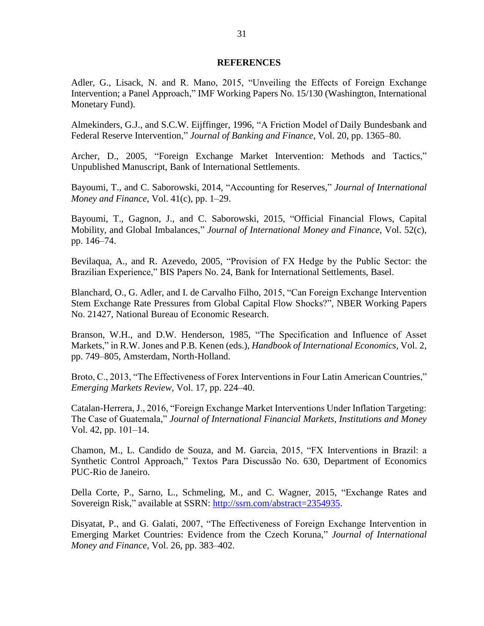#### **REFERENCES**

Adler, G., Lisack, N. and R. Mano, 2015, "Unveiling the Effects of Foreign Exchange Intervention; a Panel Approach," IMF Working Papers No. 15/130 (Washington, International Monetary Fund).

Almekinders, G.J., and S.C.W. Eijffinger, 1996, "A Friction Model of Daily Bundesbank and Federal Reserve Intervention," *Journal of Banking and Finance*, Vol. 20, pp. 1365–80.

Archer, D., 2005, "Foreign Exchange Market Intervention: Methods and Tactics," Unpublished Manuscript, Bank of International Settlements.

Bayoumi, T., and C. Saborowski, 2014, "Accounting for Reserves," *Journal of International Money and Finance,* Vol. 41(c), pp. 1‒29.

Bayoumi, T., Gagnon, J., and C. Saborowski, 2015, "Official Financial Flows, Capital Mobility, and Global Imbalances," *Journal of International Money and Finance,* Vol. 52(c), pp. 146–74.

Bevilaqua, A., and R. Azevedo, 2005, "Provision of FX Hedge by the Public Sector: the Brazilian Experience," BIS Papers No. 24, Bank for International Settlements, Basel.

Blanchard, O., G. Adler, and I. de Carvalho Filho, 2015, "Can Foreign Exchange Intervention Stem Exchange Rate Pressures from Global Capital Flow Shocks?", NBER Working Papers No. 21427, National Bureau of Economic Research.

Branson, W.H., and D.W. Henderson, 1985, "The Specification and Influence of Asset Markets," in R.W. Jones and P.B. Kenen (eds.), *Handbook of International Economics,* Vol. 2, pp. 749–805, Amsterdam, North-Holland.

Broto, C., 2013, "The Effectiveness of Forex Interventions in Four Latin American Countries," *Emerging Markets Review*, Vol. 17, pp. 224–40.

Catalan-Herrera, J., 2016, "Foreign Exchange Market Interventions Under Inflation Targeting: The Case of Guatemala," *Journal of International Financial Markets, Institutions and Money*  Vol. 42, pp.  $101-14$ .

Chamon, M., L. Candido de Souza, and M. Garcia, 2015, "FX Interventions in Brazil: a Synthetic Control Approach," Textos Para Discussão No. 630, Department of Economics PUC-Rio de Janeiro.

Della Corte, P., Sarno, L., Schmeling, M., and C. Wagner, 2015, "Exchange Rates and Sovereign Risk," available at SSRN: [http://ssrn.com/abstract=2354935.](http://ssrn.com/abstract=2354935)

Disyatat, P., and G. Galati, 2007, "The Effectiveness of Foreign Exchange Intervention in Emerging Market Countries: Evidence from the Czech Koruna," *Journal of International Money and Finance,* Vol. 26, pp. 383–402.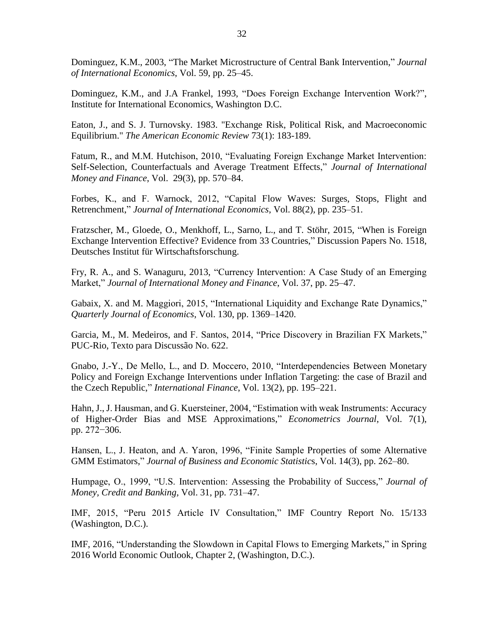Dominguez, K.M., 2003, "The Market Microstructure of Central Bank Intervention," *Journal of International Economics*, Vol. 59, pp. 25‒45.

Dominguez, K.M., and J.A Frankel, 1993, "Does Foreign Exchange Intervention Work?", Institute for International Economics, Washington D.C.

Eaton, J., and S. J. Turnovsky. 1983. "Exchange Risk, Political Risk, and Macroeconomic Equilibrium." *The American Economic Review* 73(1): 183-189.

Fatum, R., and M.M. Hutchison, 2010, "Evaluating Foreign Exchange Market Intervention: Self-Selection, Counterfactuals and Average Treatment Effects," *Journal of International Money and Finance*, Vol. 29(3), pp. 570–84.

Forbes, K., and F. Warnock, 2012, "Capital Flow Waves: Surges, Stops, Flight and Retrenchment," *Journal of International Economics*, Vol. 88(2), pp. 235–51.

Fratzscher, M., Gloede, O., Menkhoff, L., Sarno, L., and T. Stöhr, 2015, "When is Foreign Exchange Intervention Effective? Evidence from 33 Countries," Discussion Papers No. 1518, Deutsches Institut für Wirtschaftsforschung.

Fry, R. A., and S. Wanaguru, 2013, "Currency Intervention: A Case Study of an Emerging Market," *Journal of International Money and Finance*, Vol. 37, pp. 25–47.

Gabaix, X. and M. Maggiori, 2015, "International Liquidity and Exchange Rate Dynamics," *Quarterly Journal of Economics*, Vol. 130, pp. 1369–1420.

Garcia, M., M. Medeiros, and F. Santos, 2014, "Price Discovery in Brazilian FX Markets," PUC-Rio, Texto para Discussão No. 622.

Gnabo, J.-Y., De Mello, L., and D. Moccero, 2010, "Interdependencies Between Monetary Policy and Foreign Exchange Interventions under Inflation Targeting: the case of Brazil and the Czech Republic," *International Finance*, Vol. 13(2), pp. 195–221.

Hahn, J., J. Hausman, and G. Kuersteiner, 2004, "Estimation with weak Instruments: Accuracy of Higher-Order Bias and MSE Approximations," *Econometrics Journal*, Vol. 7(1), pp. 272−306.

Hansen, L., J. Heaton, and A. Yaron, 1996, "Finite Sample Properties of some Alternative GMM Estimators," *Journal of Business and Economic Statistics*, Vol. 14(3), pp. 262–80.

Humpage, O., 1999, "U.S. Intervention: Assessing the Probability of Success," *Journal of Money, Credit and Banking,* Vol. 31, pp. 731–47.

IMF, 2015, "Peru 2015 Article IV Consultation," IMF Country Report No. 15/133 (Washington, D.C.).

IMF, 2016, "Understanding the Slowdown in Capital Flows to Emerging Markets," in Spring 2016 World Economic Outlook, Chapter 2, (Washington, D.C.).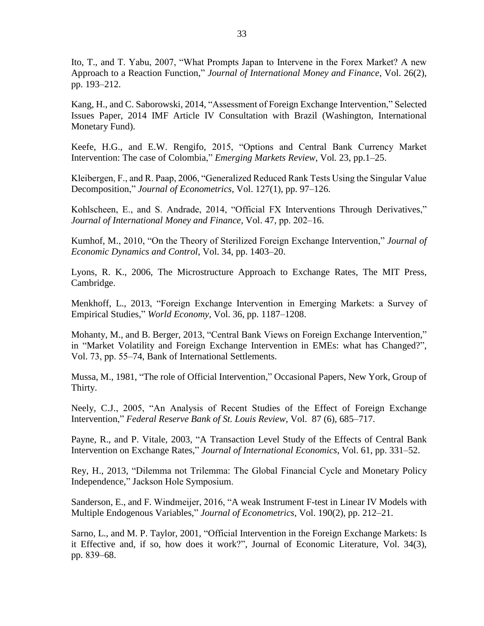Ito, T., and T. Yabu, 2007, "What Prompts Japan to Intervene in the Forex Market? A new Approach to a Reaction Function," *Journal of International Money and Finance*, Vol. 26(2), pp. 193–212.

Kang, H., and C. Saborowski, 2014, "Assessment of Foreign Exchange Intervention," Selected Issues Paper, 2014 IMF Article IV Consultation with Brazil (Washington, International Monetary Fund).

Keefe, H.G., and E.W. Rengifo, 2015, "Options and Central Bank Currency Market Intervention: The case of Colombia," *Emerging Markets Review*, Vol*.* 23, pp.1–25.

Kleibergen, F., and R. Paap, 2006, "Generalized Reduced Rank Tests Using the Singular Value Decomposition," *Journal of Econometrics*, Vol. 127(1), pp. 97–126.

Kohlscheen, E., and S. Andrade, 2014, "Official FX Interventions Through Derivatives," *Journal of International Money and Finance*, Vol. 47, pp. 202–16.

Kumhof, M., 2010, "On the Theory of Sterilized Foreign Exchange Intervention," *Journal of Economic Dynamics and Control*, Vol. 34, pp. 1403–20.

Lyons, R. K., 2006, The Microstructure Approach to Exchange Rates, The MIT Press, Cambridge.

Menkhoff, L., 2013, "Foreign Exchange Intervention in Emerging Markets: a Survey of Empirical Studies," *World Economy*, Vol. 36, pp. 1187–1208.

Mohanty, M., and B. Berger, 2013, "Central Bank Views on Foreign Exchange Intervention," in "Market Volatility and Foreign Exchange Intervention in EMEs: what has Changed?", Vol. 73, pp. 55–74, Bank of International Settlements.

Mussa, M., 1981, "The role of Official Intervention," Occasional Papers, New York, Group of Thirty.

Neely, C.J., 2005, "An Analysis of Recent Studies of the Effect of Foreign Exchange Intervention," *Federal Reserve Bank of St. Louis Review*, Vol. 87 (6), 685–717.

Payne, R., and P. Vitale, 2003, "A Transaction Level Study of the Effects of Central Bank Intervention on Exchange Rates," *Journal of International Economics*, Vol. 61, pp. 331–52.

Rey, H., 2013, "Dilemma not Trilemma: The Global Financial Cycle and Monetary Policy Independence," Jackson Hole Symposium.

Sanderson, E., and F. Windmeijer, 2016, "A weak Instrument F-test in Linear IV Models with Multiple Endogenous Variables," *Journal of Econometrics*, Vol. 190(2), pp. 212–21.

Sarno, L., and M. P. Taylor, 2001, "Official Intervention in the Foreign Exchange Markets: Is it Effective and, if so, how does it work?", Journal of Economic Literature, Vol. 34(3), pp. 839‒68.